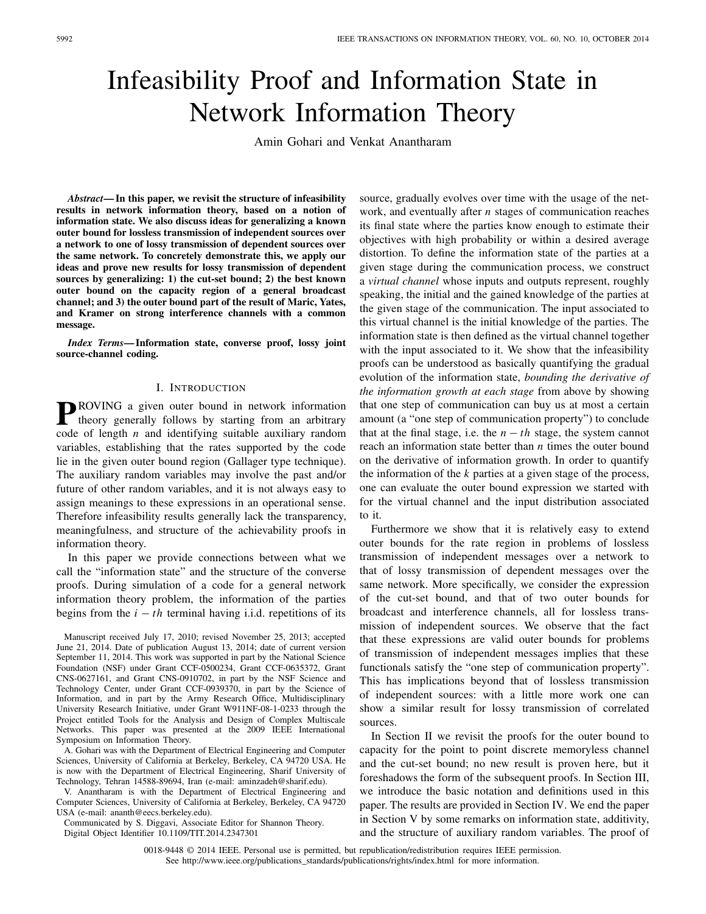# Infeasibility Proof and Information State in Network Information Theory

Amin Gohari and Venkat Anantharam

*Abstract***— In this paper, we revisit the structure of infeasibility results in network information theory, based on a notion of information state. We also discuss ideas for generalizing a known outer bound for lossless transmission of independent sources over a network to one of lossy transmission of dependent sources over the same network. To concretely demonstrate this, we apply our ideas and prove new results for lossy transmission of dependent sources by generalizing: 1) the cut-set bound; 2) the best known outer bound on the capacity region of a general broadcast channel; and 3) the outer bound part of the result of Maric, Yates, and Kramer on strong interference channels with a common message.**

*Index Terms***— Information state, converse proof, lossy joint source-channel coding.**

### I. INTRODUCTION

**P**ROVING a given outer bound in network information theory generally follows by starting from an arbitrary code of length *n* and identifying suitable auxiliary random variables, establishing that the rates supported by the code lie in the given outer bound region (Gallager type technique). The auxiliary random variables may involve the past and/or future of other random variables, and it is not always easy to assign meanings to these expressions in an operational sense. Therefore infeasibility results generally lack the transparency, meaningfulness, and structure of the achievability proofs in information theory.

In this paper we provide connections between what we call the "information state" and the structure of the converse proofs. During simulation of a code for a general network information theory problem, the information of the parties begins from the  $i - th$  terminal having i.i.d. repetitions of its

Manuscript received July 17, 2010; revised November 25, 2013; accepted June 21, 2014. Date of publication August 13, 2014; date of current version September 11, 2014. This work was supported in part by the National Science Foundation (NSF) under Grant CCF-0500234, Grant CCF-0635372, Grant CNS-0627161, and Grant CNS-0910702, in part by the NSF Science and Technology Center, under Grant CCF-0939370, in part by the Science of Information, and in part by the Army Research Office, Multidisciplinary University Research Initiative, under Grant W911NF-08-1-0233 through the Project entitled Tools for the Analysis and Design of Complex Multiscale Networks. This paper was presented at the 2009 IEEE International Symposium on Information Theory.

A. Gohari was with the Department of Electrical Engineering and Computer Sciences, University of California at Berkeley, Berkeley, CA 94720 USA. He is now with the Department of Electrical Engineering, Sharif University of Technology, Tehran 14588-89694, Iran (e-mail: aminzadeh@sharif.edu).

V. Anantharam is with the Department of Electrical Engineering and Computer Sciences, University of California at Berkeley, Berkeley, CA 94720 USA (e-mail: ananth@eecs.berkeley.edu).

Communicated by S. Diggavi, Associate Editor for Shannon Theory. Digital Object Identifier 10.1109/TIT.2014.2347301

source, gradually evolves over time with the usage of the network, and eventually after *n* stages of communication reaches its final state where the parties know enough to estimate their objectives with high probability or within a desired average distortion. To define the information state of the parties at a given stage during the communication process, we construct a *virtual channel* whose inputs and outputs represent, roughly speaking, the initial and the gained knowledge of the parties at the given stage of the communication. The input associated to this virtual channel is the initial knowledge of the parties. The information state is then defined as the virtual channel together with the input associated to it. We show that the infeasibility proofs can be understood as basically quantifying the gradual evolution of the information state, *bounding the derivative of the information growth at each stage* from above by showing that one step of communication can buy us at most a certain amount (a "one step of communication property") to conclude that at the final stage, i.e. the  $n - th$  stage, the system cannot reach an information state better than *n* times the outer bound on the derivative of information growth. In order to quantify the information of the *k* parties at a given stage of the process, one can evaluate the outer bound expression we started with for the virtual channel and the input distribution associated to it.

Furthermore we show that it is relatively easy to extend outer bounds for the rate region in problems of lossless transmission of independent messages over a network to that of lossy transmission of dependent messages over the same network. More specifically, we consider the expression of the cut-set bound, and that of two outer bounds for broadcast and interference channels, all for lossless transmission of independent sources. We observe that the fact that these expressions are valid outer bounds for problems of transmission of independent messages implies that these functionals satisfy the "one step of communication property". This has implications beyond that of lossless transmission of independent sources: with a little more work one can show a similar result for lossy transmission of correlated sources.

In Section II we revisit the proofs for the outer bound to capacity for the point to point discrete memoryless channel and the cut-set bound; no new result is proven here, but it foreshadows the form of the subsequent proofs. In Section III, we introduce the basic notation and definitions used in this paper. The results are provided in Section IV. We end the paper in Section V by some remarks on information state, additivity, and the structure of auxiliary random variables. The proof of

0018-9448 © 2014 IEEE. Personal use is permitted, but republication/redistribution requires IEEE permission. See http://www.ieee.org/publications\_standards/publications/rights/index.html for more information.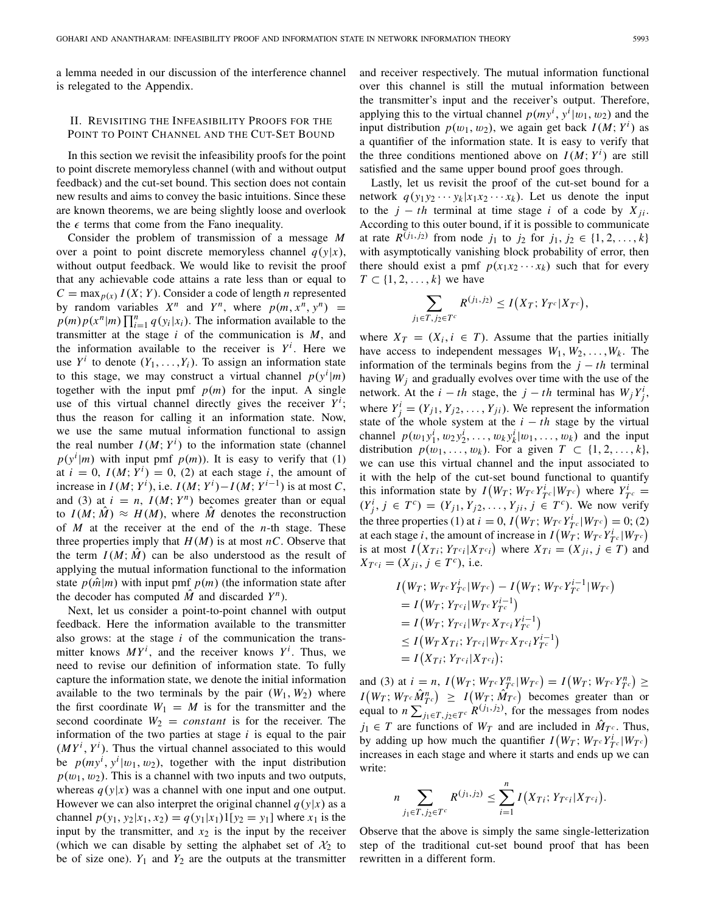a lemma needed in our discussion of the interference channel is relegated to the Appendix.

## II. REVISITING THE INFEASIBILITY PROOFS FOR THE POINT TO POINT CHANNEL AND THE CUT-SET BOUND

In this section we revisit the infeasibility proofs for the point to point discrete memoryless channel (with and without output feedback) and the cut-set bound. This section does not contain new results and aims to convey the basic intuitions. Since these are known theorems, we are being slightly loose and overlook the  $\epsilon$  terms that come from the Fano inequality.

Consider the problem of transmission of a message *M* over a point to point discrete memoryless channel  $q(y|x)$ , without output feedback. We would like to revisit the proof that any achievable code attains a rate less than or equal to  $C = \max_{p(x)} I(X; Y)$ . Consider a code of length *n* represented by random variables  $X^n$  and  $Y^n$ , where  $p(m, x^n, y^n)$  =  $p(m)p(x^n|m)\prod_{i=1}^n q(y_i|x_i)$ . The information available to the transmitter at the stage *i* of the communication is *M*, and the information available to the receiver is  $Y^i$ . Here we use  $Y^i$  to denote  $(Y_1, \ldots, Y_i)$ . To assign an information state to this stage, we may construct a virtual channel  $p(y^i|m)$ together with the input pmf  $p(m)$  for the input. A single use of this virtual channel directly gives the receiver  $Y^i$ ; thus the reason for calling it an information state. Now, we use the same mutual information functional to assign the real number  $I(M; Y<sup>i</sup>)$  to the information state (channel  $p(y^i|m)$  with input pmf  $p(m)$ ). It is easy to verify that (1) at  $i = 0$ ,  $I(M; Y<sup>i</sup>) = 0$ , (2) at each stage *i*, the amount of increase in  $I(M; Y^i)$ , i.e.  $I(M; Y^i) - I(M; Y^{i-1})$  is at most *C*, and (3) at  $i = n$ ,  $I(M; Y^n)$  becomes greater than or equal to  $I(M; \hat{M}) \approx H(M)$ , where  $\hat{M}$  denotes the reconstruction of *M* at the receiver at the end of the *n*-th stage. These three properties imply that  $H(M)$  is at most *nC*. Observe that the term  $I(M; \hat{M})$  can be also understood as the result of applying the mutual information functional to the information state  $p(\hat{m}|m)$  with input pmf  $p(m)$  (the information state after the decoder has computed  $\tilde{M}$  and discarded  $Y^n$ ).

Next, let us consider a point-to-point channel with output feedback. Here the information available to the transmitter also grows: at the stage *i* of the communication the transmitter knows  $MY<sup>i</sup>$ , and the receiver knows  $Y<sup>i</sup>$ . Thus, we need to revise our definition of information state. To fully capture the information state, we denote the initial information available to the two terminals by the pair  $(W_1, W_2)$  where the first coordinate  $W_1 = M$  is for the transmitter and the second coordinate  $W_2 = constant$  is for the receiver. The information of the two parties at stage *i* is equal to the pair  $(MY^i, Y^i)$ . Thus the virtual channel associated to this would be  $p(my^i, y^i | w_1, w_2)$ , together with the input distribution  $p(w_1, w_2)$ . This is a channel with two inputs and two outputs, whereas  $q(y|x)$  was a channel with one input and one output. However we can also interpret the original channel  $q(y|x)$  as a channel  $p(y_1, y_2|x_1, x_2) = q(y_1|x_1)1[y_2 = y_1]$  where  $x_1$  is the input by the transmitter, and  $x_2$  is the input by the receiver (which we can disable by setting the alphabet set of  $\mathcal{X}_2$  to be of size one).  $Y_1$  and  $Y_2$  are the outputs at the transmitter

and receiver respectively. The mutual information functional over this channel is still the mutual information between the transmitter's input and the receiver's output. Therefore, applying this to the virtual channel  $p(my^i, y^i|w_1, w_2)$  and the input distribution  $p(w_1, w_2)$ , we again get back  $I(M; Y^i)$  as a quantifier of the information state. It is easy to verify that the three conditions mentioned above on  $I(M; Y<sup>i</sup>)$  are still satisfied and the same upper bound proof goes through.

Lastly, let us revisit the proof of the cut-set bound for a network  $q(y_1y_2 \cdots y_k|x_1x_2 \cdots x_k)$ . Let us denote the input to the  $j - th$  terminal at time stage *i* of a code by  $X_{ii}$ . According to this outer bound, if it is possible to communicate at rate  $R^{(j_1,j_2)}$  from node  $j_1$  to  $j_2$  for  $j_1, j_2 \in \{1, 2, ..., k\}$ with asymptotically vanishing block probability of error, then there should exist a pmf  $p(x_1x_2 \cdots x_k)$  such that for every  $T \subset \{1, 2, \ldots, k\}$  we have

$$
\sum_{j_1 \in T, j_2 \in T^c} R^{(j_1, j_2)} \le I(X_T; Y_{T^c}|X_{T^c}),
$$

where  $X_T = (X_i, i \in T)$ . Assume that the parties initially have access to independent messages  $W_1, W_2, \ldots, W_k$ . The information of the terminals begins from the  $j - th$  terminal having  $W_i$  and gradually evolves over time with the use of the network. At the *i* − *th* stage, the *j* − *th* terminal has  $W_j Y_j^i$ , where  $Y_j^i = (Y_{j1}, Y_{j2}, \ldots, Y_{ji})$ . We represent the information state of the whole system at the  $i - th$  stage by the virtual channel  $p(w_1 y_1^i, w_2 y_2^i, ..., w_k y_k^i | w_1, ..., w_k)$  and the input distribution  $p(w_1, \ldots, w_k)$ . For a given  $T \subset \{1, 2, \ldots, k\}$ , we can use this virtual channel and the input associated to it with the help of the cut-set bound functional to quantify this information state by  $I(W_T; W_{T^c} Y_{T^c}^i | W_{T^c})$  where  $Y_{T^c}^i =$  $(Y_j^i, j \in T^c) = (Y_{j1}, Y_{j2}, \ldots, Y_{ji}, j \in T^c)$ . We now verify the three properties (1) at  $i = 0$ ,  $I(W_T; W_{T} \cdot Y_{T}^i | W_{T} \cdot) = 0$ ; (2) at each stage *i*, the amount of increase in  $I(W_T; W_T c Y_{Tc}^i | W_{Tc})$ is at most  $I(X_{Ti}; Y_{T^c i} | X_{T^c i})$  where  $X_{Ti} = (X_{ji}, j \in T)$  and  $X_{T^c i} = (X_{ji}, j \in T^c)$ , i.e.

$$
I(W_T; W_{T^c} Y_{T^c}^i | W_{T^c}) - I(W_T; W_{T^c} Y_{T^c}^{i-1} | W_{T^c})
$$
  
=  $I(W_T; Y_{T^c i} | W_{T^c} Y_{T^c}^{i-1})$   
=  $I(W_T; Y_{T^c i} | W_{T^c} X_{T^c i} Y_{T^c}^{i-1})$   
 $\leq I(W_T X_{T i}; Y_{T^c i} | W_{T^c} X_{T^c i} Y_{T^c}^{i-1})$   
=  $I(X_{T i}; Y_{T^c i} | X_{T^c i})$ ;

and (3) at  $i = n$ ,  $I(W_T; W_T \circ Y_T^n | W_T \circ) = I(W_T; W_T \circ Y_T^n) \ge$  $I(W_T; W_{T^c} \hat{M}_{T^c}^n) \geq I(W_T; \hat{M}_{T^c})$  becomes greater than or equal to  $n \sum_{j_1 \in T, j_2 \in T^c} R^{(j_1, j_2)}$ , for the messages from nodes *j*<sub>1</sub> ∈ *T* are functions of *W<sub>T</sub>* and are included in  $\hat{M}_{T}$ <sup>*c*</sup>. Thus, by adding up how much the quantifier  $I(W_T; W_T c Y_{T^c}^i | W_{T^c})$ increases in each stage and where it starts and ends up we can write:

$$
n \sum_{j_1 \in T, j_2 \in T^c} R^{(j_1, j_2)} \leq \sum_{i=1}^n I(X_{Ti}; Y_{T^c i} | X_{T^c i}).
$$

Observe that the above is simply the same single-letterization step of the traditional cut-set bound proof that has been rewritten in a different form.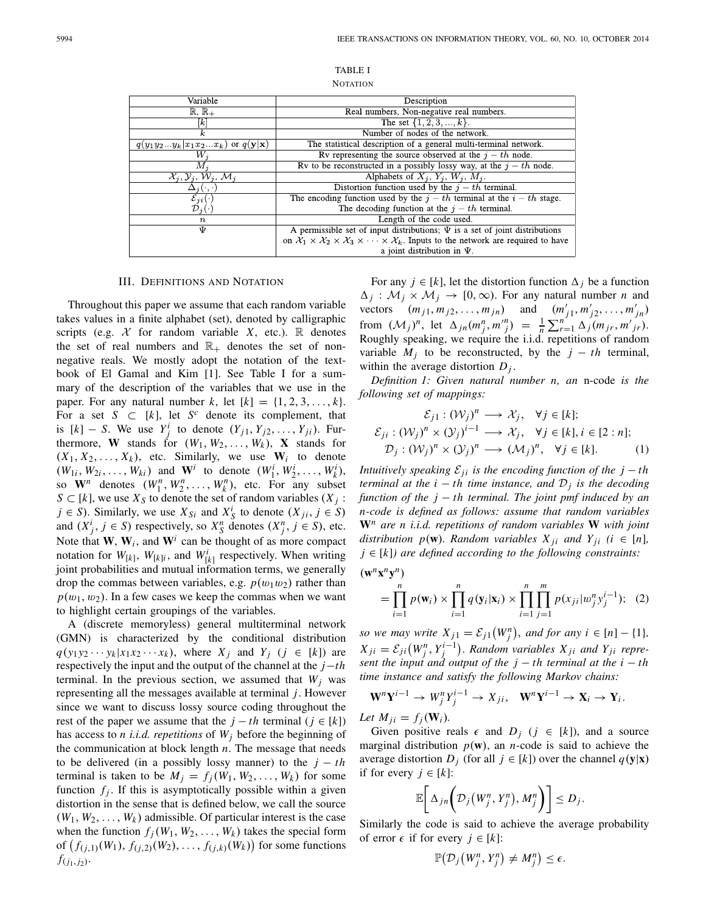| TABLE I  |  |
|----------|--|
| NOTATION |  |

| Variable                                                     | Description                                                                                                                                  |
|--------------------------------------------------------------|----------------------------------------------------------------------------------------------------------------------------------------------|
| $\mathbb{R}, \mathbb{R}_+$                                   | Real numbers, Non-negative real numbers.                                                                                                     |
| $\kappa$                                                     | The set $\{1, 2, 3, , k\}$ .                                                                                                                 |
| $\bar{k}$                                                    | Number of nodes of the network.                                                                                                              |
| $q(y_1y_2y_k x_1x_2x_k)$ or $q(\mathbf{y} \mathbf{x})$       | The statistical description of a general multi-terminal network.                                                                             |
| W.                                                           | Rv representing the source observed at the $j-th$ node.                                                                                      |
| $M_i$                                                        | Rv to be reconstructed in a possibly lossy way, at the $j-th$ node.                                                                          |
| $\mathcal{X}_i, \mathcal{Y}_i, \mathcal{W}_i, \mathcal{M}_i$ | Alphabets of $X_i$ , $Y_i$ , $W_i$ , $M_i$ .                                                                                                 |
| $\Delta_i(\cdot,\cdot)$                                      | Distortion function used by the $j-th$ terminal.                                                                                             |
| $\mathcal{E}_{ji}(\cdot)$                                    | The encoding function used by the $j-th$ terminal at the $i-th$ stage.                                                                       |
| $\mathcal{D}_i(\cdot)$                                       | The decoding function at the $j-th$ terminal.                                                                                                |
| $\boldsymbol{n}$                                             | Length of the code used.                                                                                                                     |
| Ψ                                                            | A permissible set of input distributions; $\Psi$ is a set of joint distributions                                                             |
|                                                              | on $\mathcal{X}_1 \times \mathcal{X}_2 \times \mathcal{X}_3 \times \cdots \times \mathcal{X}_k$ . Inputs to the network are required to have |
|                                                              | a joint distribution in $\Psi$ .                                                                                                             |

#### III. DEFINITIONS AND NOTATION

Throughout this paper we assume that each random variable takes values in a finite alphabet (set), denoted by calligraphic scripts (e.g.  $X$  for random variable  $X$ , etc.). R denotes the set of real numbers and  $\mathbb{R}_+$  denotes the set of nonnegative reals. We mostly adopt the notation of the textbook of El Gamal and Kim [1]. See Table I for a summary of the description of the variables that we use in the paper. For any natural number *k*, let  $[k] = \{1, 2, 3, \ldots, k\}$ . For a set  $S \subset [k]$ , let  $S^c$  denote its complement, that is  $[k]$  – *S*. We use  $Y_j^i$  to denote  $(Y_{j1}, Y_{j2}, \ldots, Y_{ji})$ . Furthermore, **W** stands for  $(W_1, W_2, \ldots, W_k)$ , **X** stands for  $(X_1, X_2, \ldots, X_k)$ , etc. Similarly, we use  $W_i$  to denote  $(W_1, W_2, \ldots, W_k)$  and  $W^i$  to denote  $(W_1^i, W_2^i, \ldots, W_k^i)$ , so  $\mathbf{W}^n$  denotes  $(W_1^n, W_2^n, \ldots, W_k^n)$ , etc. For any subset *S* ⊂ [*k*], we use *X<sub>S</sub>* to denote the set of random variables (*X<sub>j</sub>* : *j* ∈ *S*). Similarly, we use  $X_{Si}$  and  $X_S^i$  to denote  $(X_{ji}, j \in S)$ and  $(X_j^i, j \in S)$  respectively, so  $X_S^n$  denotes  $(X_j^n, j \in S)$ , etc. Note that  $W$ ,  $W$ <sup>*i*</sup>, and  $W$ <sup>*i*</sup> can be thought of as more compact notation for  $W_{[k]}$ ,  $W_{[k]i}$ , and  $W_{[k]}^i$  respectively. When writing joint probabilities and mutual information terms, we generally drop the commas between variables, e.g.  $p(w_1w_2)$  rather than  $p(w_1, w_2)$ . In a few cases we keep the commas when we want to highlight certain groupings of the variables.

A (discrete memoryless) general multiterminal network (GMN) is characterized by the conditional distribution  $q(y_1y_2 \cdots y_k|x_1x_2 \cdots x_k)$ , where  $X_j$  and  $Y_j$  ( $j \in [k]$ ) are respectively the input and the output of the channel at the *j*−*th* terminal. In the previous section, we assumed that  $W_i$  was representing all the messages available at terminal *j*. However since we want to discuss lossy source coding throughout the rest of the paper we assume that the  $j - th$  terminal ( $j \in [k]$ ) has access to *n i.i.d. repetitions* of  $W_j$  before the beginning of the communication at block length *n*. The message that needs to be delivered (in a possibly lossy manner) to the  $j - th$ terminal is taken to be  $M_i = f_i(W_1, W_2, \ldots, W_k)$  for some function  $f_i$ . If this is asymptotically possible within a given distortion in the sense that is defined below, we call the source  $(W_1, W_2, \ldots, W_k)$  admissible. Of particular interest is the case when the function  $f_i(W_1, W_2, \ldots, W_k)$  takes the special form of  $(f_{(j,1)}(W_1), f_{(j,2)}(W_2), \ldots, f_{(j,k)}(W_k))$  for some functions  $f_{(j_1,j_2)}$ .

For any  $j \in [k]$ , let the distortion function  $\Delta_j$  be a function  $\Delta_i$  :  $\mathcal{M}_i \times \mathcal{M}_i \rightarrow [0,\infty)$ . For any natural number *n* and vectors  $(m_{j1}, m_{j2},..., m_{jn})$  and  $(m'_{j1}, m'_{j2},..., m'_{jn})$ from  $({\cal M}_j)^n$ , let  $\Delta_{jn}(m_j^n, m_{j'}^n) = \frac{1}{n} \sum_{r=1}^n \Delta_j (m_{jr}, m_{jr'}^n)$ . Roughly speaking, we require the i.i.d. repetitions of random variable  $M_i$  to be reconstructed, by the  $j - th$  terminal, within the average distortion  $D_i$ .

*Definition 1: Given natural number n, an* n-code *is the following set of mappings:*

$$
\mathcal{E}_{j1} : (\mathcal{W}_j)^n \longrightarrow \mathcal{X}_j, \quad \forall j \in [k];
$$
  

$$
\mathcal{E}_{ji} : (\mathcal{W}_j)^n \times (\mathcal{Y}_j)^{i-1} \longrightarrow \mathcal{X}_j, \quad \forall j \in [k], i \in [2:n];
$$
  

$$
\mathcal{D}_j : (\mathcal{W}_j)^n \times (\mathcal{Y}_j)^n \longrightarrow (\mathcal{M}_j)^n, \quad \forall j \in [k].
$$
 (1)

*Intuitively speaking*  $\mathcal{E}_{ji}$  *is the encoding function of the j − th terminal at the i – th time instance, and*  $D_i$  *is the decoding function of the j* − *th terminal. The joint pmf induced by an n-code is defined as follows: assume that random variables* **W***<sup>n</sup> are n i.i.d. repetitions of random variables* **W** *with joint distribution*  $p(\mathbf{w})$ *. Random variables*  $X_{ji}$  *and*  $Y_{ji}$  ( $i \in [n]$ *, j* ∈ [*k*]*) are defined according to the following constraints:*  $(\mathbf{w}^n \mathbf{x}^n \mathbf{v}^n)$ 

$$
= \prod_{i=1}^{n} p(\mathbf{w}_i) \times \prod_{i=1}^{n} q(\mathbf{y}_i | \mathbf{x}_i) \times \prod_{i=1}^{n} \prod_{j=1}^{m} p(x_{ji} | w_j^{n} y_j^{i-1}); \quad (2)
$$

*so we may write*  $X_{j1} = \mathcal{E}_{j1}(W_j^n)$ *, and for any i* ∈ [*n*] – {1}*,*  $X_{ji} = \mathcal{E}_{ji}(W_j^n, Y_j^{i-1})$ . *Random variables*  $X_{ji}$  *and*  $Y_{ji}$  *represent the input and output of the j − th terminal at the i − th time instance and satisfy the following Markov chains:*

$$
\mathbf{W}^n \mathbf{Y}^{i-1} \to W_j^n Y_j^{i-1} \to X_{ji}, \quad \mathbf{W}^n \mathbf{Y}^{i-1} \to \mathbf{X}_i \to \mathbf{Y}_i.
$$

Let  $M_{ii} = f_i(\mathbf{W}_i)$ .

Given positive reals  $\epsilon$  and  $D_j$  ( $j \in [k]$ ), and a source marginal distribution  $p(\mathbf{w})$ , an *n*-code is said to achieve the average distortion  $D_j$  (for all  $j \in [k]$ ) over the channel  $q(\mathbf{y}|\mathbf{x})$ if for every  $j \in [k]$ :

$$
\mathbb{E}\bigg[\Delta_{jn}\bigg(\mathcal{D}_j\big(W_j^n,Y_j^n\big),M_j^n\bigg)\bigg]\leq D_j.
$$

Similarly the code is said to achieve the average probability of error  $\epsilon$  if for every  $j \in [k]$ :

$$
\mathbb{P}(\mathcal{D}_j(W_j^n, Y_j^n) \neq M_j^n) \leq \epsilon.
$$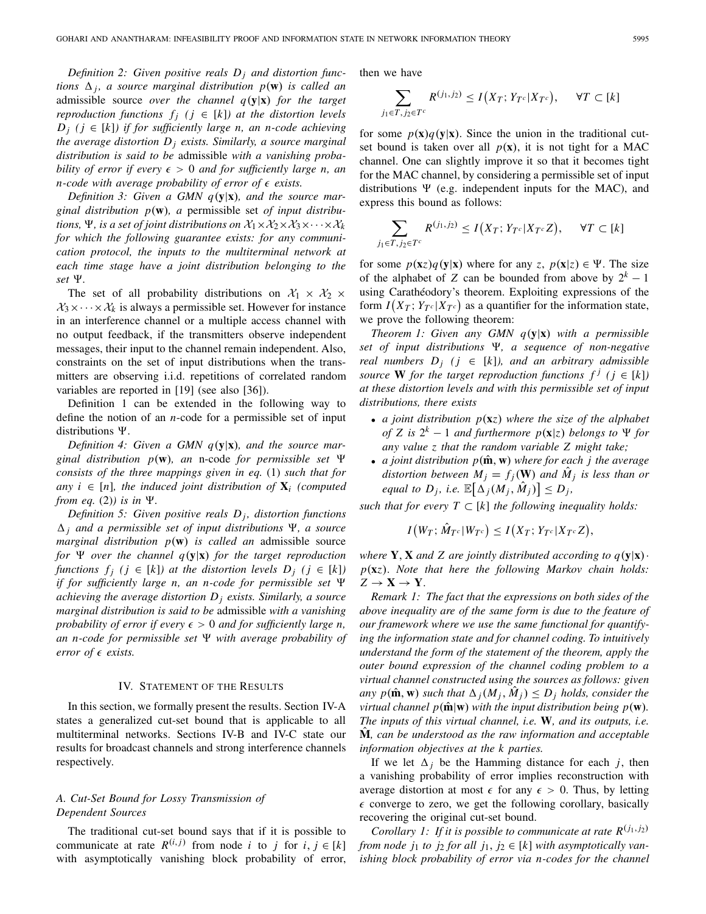*Definition 2: Given positive reals Dj and distortion functions*  $\Delta_i$ , *a source marginal distribution*  $p(\mathbf{w})$  *is called an* admissible source *over the channel q*(**y**|**x**) *for the target reproduction functions*  $f_j$  ( $j \in [k]$ ) at the distortion levels *D<sub>j</sub>* (*j* ∈ [*k*]*)* if for sufficiently large n, an n-code achieving *the average distortion Dj exists. Similarly, a source marginal distribution is said to be* admissible *with a vanishing probability of error if every*  $\epsilon > 0$  *and for sufficiently large n, an*  $n$ -code with average probability of error of  $\epsilon$  exists.

*Definition 3: Given a GMN q*(**y**|**x**)*, and the source marginal distribution p*(**w**)*, a* permissible set *of input distributions,*  $\Psi$ *, is a set of joint distributions on*  $X_1 \times X_2 \times X_3 \times \cdots \times X_k$ *for which the following guarantee exists: for any communication protocol, the inputs to the multiterminal network at each time stage have a joint distribution belonging to the*  $set \Psi$ .

The set of all probability distributions on  $X_1 \times X_2 \times$  $\chi_3 \times \cdots \times \chi_k$  is always a permissible set. However for instance in an interference channel or a multiple access channel with no output feedback, if the transmitters observe independent messages, their input to the channel remain independent. Also, constraints on the set of input distributions when the transmitters are observing i.i.d. repetitions of correlated random variables are reported in [19] (see also [36]).

Definition 1 can be extended in the following way to define the notion of an *n*-code for a permissible set of input distributions  $\Psi$ .

*Definition 4: Given a GMN q*(**y**|**x**)*, and the source marginal distribution p*(**w**)*, an* n-code *for permissible set consists of the three mappings given in eq.* (1) *such that for any i* ∈ [*n*]*, the induced joint distribution of*  $\mathbf{X}_i$  *(computed from eq.* (2)*) is in*  $\Psi$ .

*Definition 5: Given positive reals*  $D_j$ *, distortion functions*  $\Delta_i$  *and a permissible set of input distributions*  $\Psi$ *, a source marginal distribution*  $p(w)$  *is called an* admissible source *for*  $\Psi$  *over the channel*  $q(y|x)$  *for the target reproduction functions*  $f_i$  ( $j \in [k]$ ) at the distortion levels  $D_j$  ( $j \in [k]$ ) *if for sufficiently large n, an n-code for permissible set achieving the average distortion Dj exists. Similarly, a source marginal distribution is said to be* admissible *with a vanishing* probability of error if every  $\epsilon > 0$  and for sufficiently large n, *an n-code for permissible set with average probability of*  $error of  $\epsilon$  exists.$ 

#### IV. STATEMENT OF THE RESULTS

In this section, we formally present the results. Section IV-A states a generalized cut-set bound that is applicable to all multiterminal networks. Sections IV-B and IV-C state our results for broadcast channels and strong interference channels respectively.

# *A. Cut-Set Bound for Lossy Transmission of Dependent Sources*

The traditional cut-set bound says that if it is possible to communicate at rate  $R^{(i,j)}$  from node *i* to *j* for  $i, j \in [k]$ with asymptotically vanishing block probability of error, then we have

$$
\sum_{j_1 \in T, j_2 \in T^c} R^{(j_1, j_2)} \le I(X_T; Y_{T^c}| X_{T^c}), \quad \forall T \subset [k]
$$

for some  $p(\mathbf{x})q(\mathbf{y}|\mathbf{x})$ . Since the union in the traditional cutset bound is taken over all  $p(x)$ , it is not tight for a MAC channel. One can slightly improve it so that it becomes tight for the MAC channel, by considering a permissible set of input distributions  $\Psi$  (e.g. independent inputs for the MAC), and express this bound as follows:

$$
\sum_{j_1 \in T, j_2 \in T^c} R^{(j_1, j_2)} \le I(X_T; Y_{T^c} | X_{T^c} Z), \quad \forall T \subset [k]
$$

for some  $p(\mathbf{x}z)q(\mathbf{y}|\mathbf{x})$  where for any  $z, p(\mathbf{x}|z) \in \Psi$ . The size of the alphabet of *Z* can be bounded from above by  $2^k - 1$ using Carathéodory's theorem. Exploiting expressions of the form  $I(X_T; Y_{T^c}|X_{T^c})$  as a quantifier for the information state, we prove the following theorem:

*Theorem 1: Given any GMN q*(**y**|**x**) *with a permissible set of input distributions*  $\Psi$ *, a sequence of non-negative real numbers*  $D_j$  ( $j \in [k]$ ), and an arbitrary admissible *source* **W** *for the target reproduction functions*  $f^j$  ( $j \in [k]$ ) *at these distortion levels and with this permissible set of input distributions, there exists*

- *a joint distribution p*(**x***z*) *where the size of the alphabet of Z* is  $2^k - 1$  *and furthermore*  $p(\mathbf{x}|\mathbf{z})$  *belongs to*  $\Psi$  *for any value z that the random variable Z might take;*
- *a joint distribution*  $p(\hat{\mathbf{m}}, \mathbf{w})$  *where for each j the average distortion between*  $M_i = f_i(\mathbf{W})$  *and*  $\hat{M}_i$  *is less than or*  $[Equal to D_j, i.e. \mathbb{E}[\Delta_j(M_j, \hat{M}_j)] \leq D_j$

*such that for every*  $T \subset [k]$  *the following inequality holds:* 

$$
I\big(W_T;\,\hat{M}_{T^c}|W_{T^c}\big)\leq I\big(X_T;\,Y_{T^c}|X_{T^c}Z\big),
$$

*where*  $Y$ ,  $X$  *and*  $Z$  *are jointly distributed according to*  $q(y|x)$ . *p*(**x***z*). *Note that here the following Markov chain holds:*  $Z \rightarrow X \rightarrow Y$ .

*Remark 1: The fact that the expressions on both sides of the above inequality are of the same form is due to the feature of our framework where we use the same functional for quantifying the information state and for channel coding. To intuitively understand the form of the statement of the theorem, apply the outer bound expression of the channel coding problem to a virtual channel constructed using the sources as follows: given any*  $p(\hat{\mathbf{m}}, \mathbf{w})$  *such that*  $\Delta_i(M_i, M_i) \leq D_i$  *holds, consider the virtual channel p*( $\hat{\mathbf{m}}$ |**w**) *with the input distribution being p*(**w**). *The inputs of this virtual channel, i.e.* **W***, and its outputs, i.e.* **M**, can be understood as the raw information and acceptable *information objectives at the k parties.*

If we let  $\Delta_i$  be the Hamming distance for each *j*, then a vanishing probability of error implies reconstruction with average distortion at most  $\epsilon$  for any  $\epsilon > 0$ . Thus, by letting  $\epsilon$  converge to zero, we get the following corollary, basically recovering the original cut-set bound.

*Corollary 1: If it is possible to communicate at rate*  $R^{(j_1,j_2)}$ *from node j*<sub>1</sub> *to j*<sub>2</sub> *for all j*<sub>1</sub>, *j*<sub>2</sub>  $\in$  [*k*] *with asymptotically vanishing block probability of error via n-codes for the channel*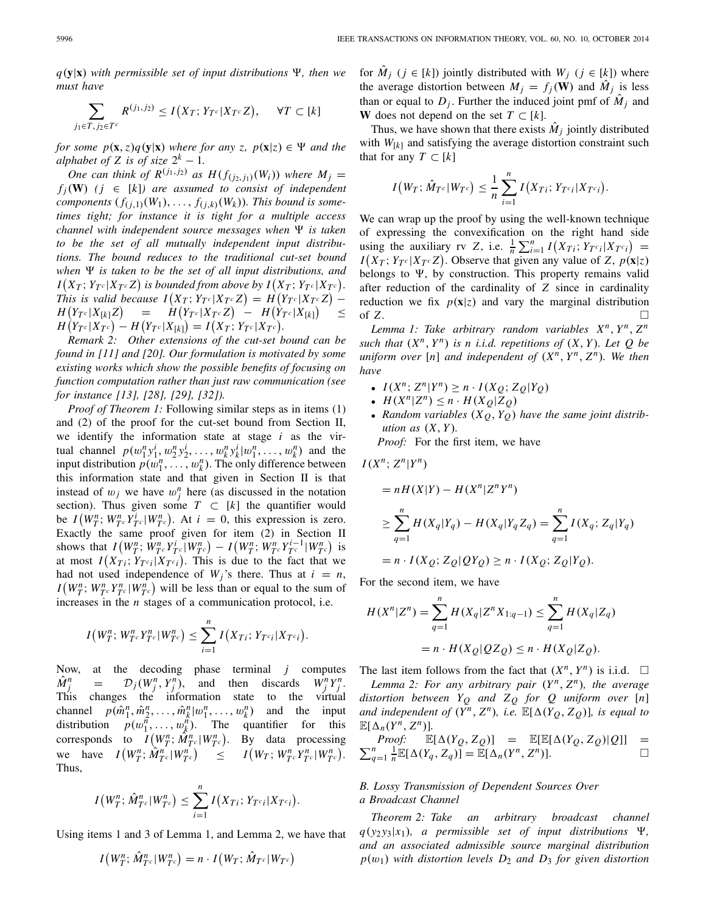$q$ (**y**|**x**) *with permissible set of input distributions*  $\Psi$ , then we *must have*

$$
\sum_{j_1 \in T, j_2 \in T^c} R^{(j_1, j_2)} \le I(X_T; Y_{T^c} | X_{T^c} Z), \quad \forall T \subset [k]
$$

*for some*  $p(\mathbf{x}, z)q(\mathbf{y}|\mathbf{x})$  *<i>where for any z,*  $p(\mathbf{x}|z) \in \Psi$  *and the alphabet of Z is of size*  $2^k - 1$ *.* 

*One can think of*  $R^{(j_1,j_2)}$  *as*  $H(f_{(j_2,j_1)}(W_i))$  *where*  $M_j =$  $f_i(\mathbf{W})$  ( $j \in [k]$ ) are assumed to consist of independent *components*  $(f_{(i,1)}(W_1), \ldots, f_{(i,k)}(W_k))$ . This bound is some*times tight; for instance it is tight for a multiple access channel with independent source messages when is taken to be the set of all mutually independent input distributions. The bound reduces to the traditional cut-set bound when is taken to be the set of all input distributions, and*  $I\left( {{X}_{T}};Y_{T^c}|{X}_{T^c}{Z} \right)$  is bounded from above by  $I\left( {{X}_{T}};Y_{T^c}|{X}_{T^c} \right)$ . *This is valid because*  $I(X_T; Y_{T^c} | X_{T^c} Z) = H(Y_{T^c} | X_{T^c} Z) H(Y_T c | X_{[k]}Z)$  =  $H(Y_T c | X_T c Z)$  −  $H(Y_T c | X_{[k]}Z)$  ≤  $H(Y_T c | X_T c) - H(Y_T c | X_{[k]}) = I(X_T; Y_{T^c} | X_{T^c}).$ 

*Remark 2: Other extensions of the cut-set bound can be found in [11] and [20]. Our formulation is motivated by some existing works which show the possible benefits of focusing on function computation rather than just raw communication (see for instance [13], [28], [29], [32]).*

*Proof of Theorem 1:* Following similar steps as in items (1) and (2) of the proof for the cut-set bound from Section II, we identify the information state at stage *i* as the virtual channel  $p(w_1^n y_1^i, w_2^n y_2^i, ..., w_k^n y_k^i | w_1^n, ..., w_k^n)$  and the input distribution  $p(w_1^n, \ldots, w_k^n)$ . The only difference between this information state and that given in Section II is that instead of  $w_j$  we have  $w_j^n$  here (as discussed in the notation section). Thus given some  $T \subset [k]$  the quantifier would be  $I(W^n_T; W^n_{T^c} Y^n_{T^c} | W^n_{T^c})$ . At  $i = 0$ , this expression is zero. Exactly the same proof given for item (2) in Section II shows that  $I(W_T^n; W_{T^c}^n Y_{T^c}^i | W_{T^c}^n) - I(W_T^n; W_{T^c}^n Y_{T^c}^{i-1} | W_{T^c}^n)$  is at most  $I(X_{Ti}; Y_{T^c i}|X_{T^c i})$ . This is due to the fact that we had not used independence of  $W_i$ 's there. Thus at  $i = n$ ,  $I(W_T^n; W_{T}^n, Y_{T}^n | W_{T}^n)$  will be less than or equal to the sum of increases in the *n* stages of a communication protocol, i.e.

$$
I(W_{T}^{n}; W_{T}^{n} \times Y_{T}^{n}|W_{T}^{n}) \leq \sum_{i=1}^{n} I(X_{Ti}; Y_{T^{c}i}|X_{T^{c}i}).
$$

Now, at the decoding phase terminal *j* computes  $M_i^n$  $\mathcal{D}_j(W_j^n, Y_j^n)$ , and then discards  $W_j^n$  $\int j^n Y_j^n$ . This changes the information state to the virtual channel  $p(\hat{m}_1^n, \hat{m}_2^n, \ldots, \hat{m}_k^n | w_1^n, \ldots, w_k^n)$ and the input distribution  $p(w_1^{\tilde{n}}, \ldots, w_k^{\tilde{n}})$ . The quantifier for this corresponds to  $I(W_T^n; \hat{M}_{T^c}^n | W_{T^c}^n)$ . By data processing we have  $I(W_T^n; \hat{M}_{T}^n | W_{T}^n)$  ≤ *I*  $(W_T; W_{T^c}^n Y_{T^c}^n | W_{T^c}^n)$ . Thus,

$$
I\big(W_T^n; \hat{M}_{T^c}^n | W_{T^c}^n\big) \leq \sum_{i=1}^n I\big(X_{Ti}; Y_{T^c i} | X_{T^c i}\big).
$$

Using items 1 and 3 of Lemma 1, and Lemma 2, we have that

$$
I(W_T^n; \hat{M}_{T^c}^n | W_{T^c}^n) = n \cdot I(W_T; \hat{M}_{T^c} | W_{T^c})
$$

for  $\hat{M}_i$  ( $j \in [k]$ ) jointly distributed with  $W_i$  ( $j \in [k]$ ) where the average distortion between  $M_i = f_i(\mathbf{W})$  and  $\hat{M}_i$  is less than or equal to  $D_j$ . Further the induced joint pmf of  $\dot{M}_j$  and **W** does not depend on the set *T* ⊂ [ $k$ ].

Thus, we have shown that there exists  $\tilde{M}_i$  jointly distributed with  $W_{[k]}$  and satisfying the average distortion constraint such that for any  $T \subset [k]$ 

$$
I(W_T; \hat{M}_{T^c}|W_{T^c}) \leq \frac{1}{n} \sum_{i=1}^n I(X_{Ti}; Y_{T^c i}|X_{T^c i}).
$$

We can wrap up the proof by using the well-known technique of expressing the convexification on the right hand side using the auxiliary rv *Z*, i.e.  $\frac{1}{n} \sum_{i=1}^{n} I(X_{Ti}; Y_{T^c i} | X_{T^c i}) =$ *I*( $X_T$ ;  $Y_{T^c} | X_{T^c} Z$ ). Observe that given any value of *Z*,  $p(\mathbf{x} | z)$ belongs to  $\Psi$ , by construction. This property remains valid after reduction of the cardinality of *Z* since in cardinality reduction we fix  $p(x|z)$  and vary the marginal distribution of  $Z$ .

*Lemma 1: Take arbitrary random variables*  $X^n$ ,  $Y^n$ ,  $Z^n$ *such that*  $(X^n, Y^n)$  *is n i.i.d. repetitions of*  $(X, Y)$ *. Let*  $Q$  *be uniform over* [n] *and independent of*  $(X^n, Y^n, Z^n)$ *. We then have*

- $I(X^n; Z^n | Y^n) \ge n \cdot I(X_Q; Z_Q | Y_Q)$
- $H(X^n | Z^n) \leq n \cdot H(X_O | Z_O)$
- *Random variables*  $(X_Q, Y_Q)$  *have the same joint distribution as*  $(X, Y)$ *.*

*Proof:* For the first item, we have

$$
I(X^{n}; Z^{n}|Y^{n})
$$
  
= nH(X|Y) - H(X^{n}|Z^{n}Y^{n})  

$$
\geq \sum_{q=1}^{n} H(X_{q}|Y_{q}) - H(X_{q}|Y_{q}Z_{q}) = \sum_{q=1}^{n} I(X_{q}; Z_{q}|Y_{q})
$$
  
= n \cdot I(X\_{Q}; Z\_{Q}|QY\_{Q}) \geq n \cdot I(X\_{Q}; Z\_{Q}|Y\_{Q}).

For the second item, we have

$$
H(X^n | Z^n) = \sum_{q=1}^n H(X_q | Z^n X_{1:q-1}) \le \sum_{q=1}^n H(X_q | Z_q)
$$
  
=  $n \cdot H(X_Q | Q Z_Q) \le n \cdot H(X_Q | Z_Q).$ 

The last item follows from the fact that  $(X^n, Y^n)$  is i.i.d.  $\Box$ *Lemma 2: For any arbitrary pair*  $(Y^n, Z^n)$ *, the average distortion between*  $Y_Q$  *and*  $Z_Q$  *for*  $Q$  *uniform over* [*n*] *and independent of*  $(Y^n, Z^n)$ *, i.e.*  $\mathbb{E}[\Delta(Y_Q, Z_Q)]$ *, is equal to*  $\mathbb{E}[\Delta_n(Y^n, Z^n)].$ 

*Proof:* 
$$
\mathbb{E}[\Delta(Y_Q, Z_Q)] = \mathbb{E}[\mathbb{E}[\Delta(Y_Q, Z_Q)]] = \sum_{q=1}^n \frac{1}{n} \mathbb{E}[\Delta(Y_q, Z_q)] = \mathbb{E}[\Delta_n(Y^n, Z^n)].
$$

## *B. Lossy Transmission of Dependent Sources Over a Broadcast Channel*

*Theorem 2: Take an arbitrary broadcast channel*  $q(y_2y_3|x_1)$ *, a permissible set of input distributions*  $\Psi$ *, and an associated admissible source marginal distribution p*(w1) *with distortion levels D*<sup>2</sup> *and D*<sup>3</sup> *for given distortion*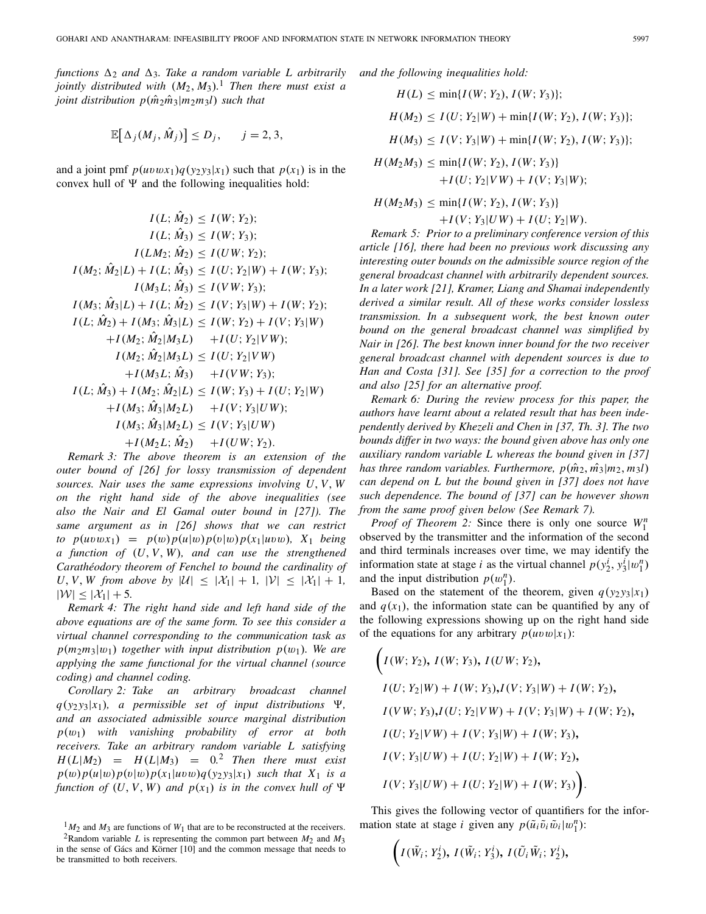*functions*  $\Delta_2$  *and*  $\Delta_3$ *. Take a random variable L arbitrarily jointly distributed with* (*M*2, *M*3)*.* <sup>1</sup> *Then there must exist a joint distribution p*( $\hat{m}_2 \hat{m}_3 | m_2 m_3 l$ ) *such that* 

$$
\mathbb{E}[\Delta_j(M_j,\hat{M}_j)] \leq D_j, \quad j=2,3,
$$

and a joint pmf  $p(uvwx_1)q(y_2y_3|x_1)$  such that  $p(x_1)$  is in the convex hull of  $\Psi$  and the following inequalities hold:

$$
I(L; \hat{M}_2) \leq I(W; Y_2);
$$
  
\n
$$
I(L; \hat{M}_3) \leq I(W; Y_3);
$$
  
\n
$$
I(LM_2; \hat{M}_2) \leq I(UW; Y_2);
$$
  
\n
$$
I(M_2; \hat{M}_2|L) + I(L; \hat{M}_3) \leq I(U; Y_2|W) + I(W; Y_3);
$$
  
\n
$$
I(M_3L; \hat{M}_3) \leq I(VW; Y_3);
$$
  
\n
$$
I(M_3; \hat{M}_3|L) + I(L; \hat{M}_2) \leq I(V; Y_3|W) + I(W; Y_2);
$$
  
\n
$$
I(L; \hat{M}_2) + I(M_3; \hat{M}_3|L) \leq I(W; Y_2) + I(V; Y_3|W)
$$
  
\n
$$
+ I(M_2; \hat{M}_2|M_3L) + I(U; Y_2|VW);
$$
  
\n
$$
I(M_2; \hat{M}_2|M_3L) \leq I(U; Y_2|VW)
$$
  
\n
$$
+ I(M_3L; \hat{M}_3) + I(VW; Y_3);
$$
  
\n
$$
I(L; \hat{M}_3) + I(M_2; \hat{M}_2|L) \leq I(W; Y_3) + I(U; Y_2|W)
$$
  
\n
$$
+ I(M_3; \hat{M}_3|M_2L) + I(V; Y_3|UW);
$$
  
\n
$$
I(M_3; \hat{M}_3|M_2L) \leq I(V; Y_3|UW)
$$
  
\n
$$
+ I(M_2L; \hat{M}_2) + I(UW; Y_2).
$$

*Remark 3: The above theorem is an extension of the outer bound of [26] for lossy transmission of dependent sources. Nair uses the same expressions involving U*, *V*, *W on the right hand side of the above inequalities (see also the Nair and El Gamal outer bound in [27]). The same argument as in [26] shows that we can restrict*  $to p(uvwx_1) = p(w)p(u|w)p(v|w)p(x_1|uvw), X_1$  *being a function of* (*U*, *V*, *W*)*, and can use the strengthened Carathéodory theorem of Fenchel to bound the cardinality of U*, *V*, *W* from above by  $|U| \leq |X_1| + 1$ ,  $|V| \leq |X_1| + 1$ ,  $|W|$  ≤  $|X_1|$  + 5*.* 

*Remark 4: The right hand side and left hand side of the above equations are of the same form. To see this consider a virtual channel corresponding to the communication task as*  $p(m_2m_3|w_1)$  *together with input distribution*  $p(w_1)$ *. We are applying the same functional for the virtual channel (source coding) and channel coding.*

*Corollary 2: Take an arbitrary broadcast channel*  $q(y_2 y_3 | x_1)$ *, a permissible set of input distributions*  $\Psi$ *, and an associated admissible source marginal distribution p*(w1) *with vanishing probability of error at both receivers. Take an arbitrary random variable L satisfying*  $H(L|M_2) = H(L|M_3) = 0.2$  *Then there must exist*  $p(w)p(u|w)p(v|w)p(x_1|uvw)q(y_2y_3|x_1)$  *such that*  $X_1$  *is a function of*  $(U, V, W)$  *and*  $p(x_1)$  *is in the convex hull of*  $\Psi$ 

*and the following inequalities hold:*

$$
H(L) \le \min\{I(W; Y_2), I(W; Y_3)\};
$$
  
\n
$$
H(M_2) \le I(U; Y_2|W) + \min\{I(W; Y_2), I(W; Y_3)\};
$$
  
\n
$$
H(M_3) \le I(V; Y_3|W) + \min\{I(W; Y_2), I(W; Y_3)\};
$$
  
\n
$$
H(M_2M_3) \le \min\{I(W; Y_2), I(W; Y_3)\}
$$
  
\n
$$
+I(U; Y_2|VW) + I(V; Y_3|W);
$$

$$
H(M_2M_3) \le \min\{I(W; Y_2), I(W; Y_3)\} + I(V; Y_3|UW) + I(U; Y_2|W).
$$

*Remark 5: Prior to a preliminary conference version of this article [16], there had been no previous work discussing any interesting outer bounds on the admissible source region of the general broadcast channel with arbitrarily dependent sources. In a later work [21], Kramer, Liang and Shamai independently derived a similar result. All of these works consider lossless transmission. In a subsequent work, the best known outer bound on the general broadcast channel was simplified by Nair in [26]. The best known inner bound for the two receiver general broadcast channel with dependent sources is due to Han and Costa [31]. See [35] for a correction to the proof and also [25] for an alternative proof.*

*Remark 6: During the review process for this paper, the authors have learnt about a related result that has been independently derived by Khezeli and Chen in [37, Th. 3]. The two bounds differ in two ways: the bound given above has only one auxiliary random variable L whereas the bound given in [37] has three random variables. Furthermore, p* $(\hat{m}_2, \hat{m}_3 | m_2, m_3 l)$ *can depend on L but the bound given in [37] does not have such dependence. The bound of [37] can be however shown from the same proof given below (See Remark 7).*

*Proof of Theorem 2:* Since there is only one source *W<sup>n</sup>* 1 observed by the transmitter and the information of the second and third terminals increases over time, we may identify the information state at stage *i* as the virtual channel  $p(y_2^i, y_3^i|w_1^n)$ and the input distribution  $p(w_1^n)$ .

Based on the statement of the theorem, given  $q(y_2 y_3 | x_1)$ and  $q(x_1)$ , the information state can be quantified by any of the following expressions showing up on the right hand side of the equations for any arbitrary  $p(uvw|x_1)$ :

$$
\left(I(W; Y_2), I(W; Y_3), I(UW; Y_2),I(U; Y_2|W) + I(W; Y_3), I(V; Y_3|W) + I(W; Y_2),I(VW; Y_3), I(U; Y_2|VW) + I(V; Y_3|W) + I(W; Y_2),I(U; Y_2|VW) + I(V; Y_3|W) + I(W; Y_3),I(V; Y_3|UW) + I(U; Y_2|W) + I(W; Y_2),I(V; Y_3|UW) + I(U; Y_2|W) + I(W; Y_3)\right).
$$

This gives the following vector of quantifiers for the information state at stage *i* given any  $p(\tilde{u}_i \tilde{v}_i \tilde{w}_i | w_1^n)$ :

$$
\left(I(\tilde{W}_i;Y_2^i), I(\tilde{W}_i;Y_3^i), I(\tilde{U}_i\tilde{W}_i;Y_2^i),\right.
$$

 $1 M<sub>2</sub>$  and  $M<sub>3</sub>$  are functions of  $W<sub>1</sub>$  that are to be reconstructed at the receivers.

<sup>&</sup>lt;sup>2</sup>Random variable *L* is representing the common part between  $M_2$  and  $M_3$ in the sense of Gács and Körner [10] and the common message that needs to be transmitted to both receivers.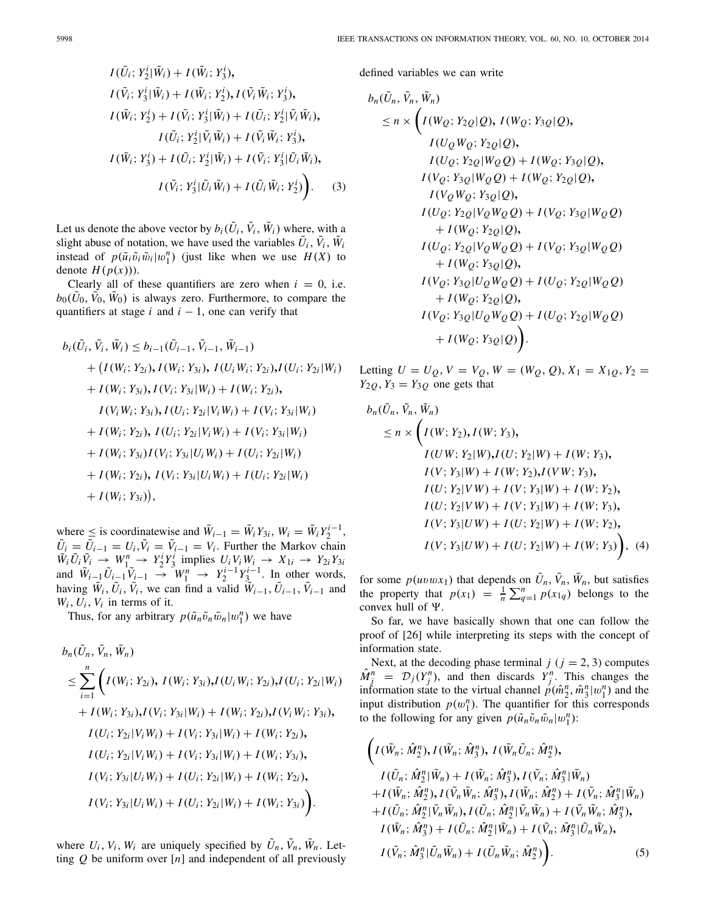$$
I(\tilde{U}_i; Y_2^i | \tilde{W}_i) + I(\tilde{W}_i; Y_3^i),
$$
  
\n
$$
I(\tilde{V}_i; Y_3^i | \tilde{W}_i) + I(\tilde{W}_i; Y_2^i), I(\tilde{V}_i \tilde{W}_i; Y_3^i),
$$
  
\n
$$
I(\tilde{W}_i; Y_2^i) + I(\tilde{V}_i; Y_3^i | \tilde{W}_i) + I(\tilde{U}_i; Y_2^i | \tilde{V}_i \tilde{W}_i),
$$
  
\n
$$
I(\tilde{U}_i; Y_2^i | \tilde{V}_i \tilde{W}_i) + I(\tilde{V}_i \tilde{W}_i; Y_3^i),
$$
  
\n
$$
I(\tilde{W}_i; Y_3^i) + I(\tilde{U}_i; Y_2^i | \tilde{W}_i) + I(\tilde{V}_i; Y_3^i | \tilde{U}_i \tilde{W}_i),
$$
  
\n
$$
I(\tilde{V}_i; Y_3^i | \tilde{U}_i \tilde{W}_i) + I(\tilde{U}_i \tilde{W}_i; Y_2^i) \bigg).
$$
 (3)

Let us denote the above vector by  $b_i(\tilde{U}_i, \tilde{V}_i, \tilde{W}_i)$  where, with a slight abuse of notation, we have used the variables  $\tilde{U}_i$ ,  $\tilde{V}_i$ ,  $\tilde{W}_i$ instead of  $p(\tilde{u}_i \tilde{v}_i w_i | w_1^n)$  (just like when we use  $H(X)$  to denote  $H(p(x))$ .

Clearly all of these quantifiers are zero when  $i = 0$ , i.e.  $b_0(\tilde{U}_0, \tilde{V}_0, \tilde{W}_0)$  is always zero. Furthermore, to compare the quantifiers at stage  $i$  and  $i - 1$ , one can verify that

$$
b_i(\tilde{U}_i, \tilde{V}_i, \tilde{W}_i) \leq b_{i-1}(\tilde{U}_{i-1}, \tilde{V}_{i-1}, \tilde{W}_{i-1})
$$
  
+ 
$$
(I(W_i; Y_{2i}), I(W_i; Y_{3i}), I(U_i W_i; Y_{2i}), I(U_i; Y_{2i} | W_i)
$$
  
+ 
$$
I(W_i; Y_{3i}), I(V_i; Y_{3i} | W_i) + I(W_i; Y_{2i}),
$$
  

$$
I(V_i W_i; Y_{3i}), I(U_i; Y_{2i} | V_i W_i) + I(V_i; Y_{3i} | W_i)
$$
  
+ 
$$
I(W_i; Y_{2i}), I(U_i; Y_{2i} | V_i W_i) + I(V_i; Y_{3i} | W_i)
$$
  
+ 
$$
I(W_i; Y_{3i}) I(V_i; Y_{3i} | U_i W_i) + I(U_i; Y_{2i} | W_i)
$$
  
+ 
$$
I(W_i; Y_{2i}), I(V_i; Y_{3i} | U_i W_i) + I(U_i; Y_{2i} | W_i)
$$
  
+ 
$$
I(W_i; Y_{3i}),
$$

where  $\leq$  is coordinatewise and  $\tilde{W}_{i-1} = \tilde{W}_i Y_{3i}$ ,  $W_i = \tilde{W}_i Y_2^{i-1}$ ,  $\tilde{U}_i = \tilde{U}_{i-1} = U_i, \tilde{V}_i = \tilde{V}_{i-1} = V_i$ . Further the Markov chain  $\tilde{W}_i \tilde{U}_i \tilde{V}_i \rightarrow W_1^n \rightarrow Y_2^i Y_3^i$  implies  $U_i V_i W_i \rightarrow X_{1i} \rightarrow Y_{2i} Y_{3i}$ and  $\tilde{W}_{i-1}\tilde{U}_{i-1}\tilde{V}_{i-1} \rightarrow W_1^n \rightarrow Y_2^{i-1}Y_3^{i-1}$ . In other words, having  $\tilde{W}_i$ ,  $\tilde{U}_i$ ,  $\tilde{V}_i$ , we can find a valid  $\tilde{W}_{i-1}$ ,  $\tilde{U}_{i-1}$ ,  $\tilde{V}_{i-1}$  and  $W_i$ ,  $U_i$ ,  $V_i$  in terms of it.

Thus, for any arbitrary  $p(\tilde{u}_n \tilde{v}_n \tilde{w}_n | w_1^n)$  we have

$$
b_n(\tilde{U}_n, \tilde{V}_n, \tilde{W}_n)
$$
  
\n
$$
\leq \sum_{i=1}^n \Biggl(I(W_i; Y_{2i}), I(W_i; Y_{3i}), I(U_i W_i; Y_{2i}), I(U_i; Y_{2i} | W_i) + I(W_i; Y_{3i}), I(V_i; Y_{3i} | W_i) + I(W_i; Y_{2i}), I(V_i W_i; Y_{3i}),
$$
  
\n
$$
I(U_i; Y_{2i} | V_i W_i) + I(V_i; Y_{3i} | W_i) + I(W_i; Y_{2i}),
$$
  
\n
$$
I(U_i; Y_{2i} | V_i W_i) + I(V_i; Y_{3i} | W_i) + I(W_i; Y_{3i}),
$$
  
\n
$$
I(V_i; Y_{3i} | U_i W_i) + I(U_i; Y_{2i} | W_i) + I(W_i; Y_{2i}),
$$
  
\n
$$
I(V_i; Y_{3i} | U_i W_i) + I(U_i; Y_{2i} | W_i) + I(W_i; Y_{3i})
$$

where  $U_i$ ,  $V_i$ ,  $W_i$  are uniquely specified by  $\tilde{U}_n$ ,  $\tilde{V}_n$ ,  $\tilde{W}_n$ . Letting *Q* be uniform over [*n*] and independent of all previously defined variables we can write

$$
b_n(\tilde{U}_n, \tilde{V}_n, \tilde{W}_n)
$$
  
\n
$$
\leq n \times \left(I(W_Q; Y_{2Q}|Q), I(W_Q; Y_{3Q}|Q),\right)
$$
  
\n
$$
I(U_Q; Y_{2Q}|Q),
$$
  
\n
$$
I(U_Q; Y_{2Q}|W_QQ) + I(W_Q; Y_{3Q}|Q),
$$
  
\n
$$
I(V_Q; Y_{3Q}|W_QQ) + I(W_Q; Y_{2Q}|Q),
$$
  
\n
$$
I(V_QW_Q; Y_{3Q}|Q),
$$
  
\n
$$
I(U_Q; Y_{2Q}|V_QW_QQ) + I(V_Q; Y_{3Q}|W_QQ)
$$
  
\n
$$
+ I(W_Q; Y_{2Q}|Q),
$$
  
\n
$$
I(U_Q; Y_{2Q}|V_QW_QQ) + I(V_Q; Y_{3Q}|W_QQ)
$$
  
\n
$$
+ I(W_Q; Y_{3Q}|Q),
$$
  
\n
$$
I(V_Q; Y_{3Q}|U_QW_QQ) + I(U_Q; Y_{2Q}|W_QQ)
$$
  
\n
$$
+ I(W_Q; Y_{2Q}|Q),
$$
  
\n
$$
I(V_Q; Y_{3Q}|U_QW_QQ) + I(U_Q; Y_{2Q}|W_QQ)
$$
  
\n
$$
+ I(W_Q; Y_{3Q}|Q).
$$

Letting  $U = U_Q$ ,  $V = V_Q$ ,  $W = (W_Q, Q)$ ,  $X_1 = X_{1Q}$ ,  $Y_2 =$  $Y_{2Q}$ ,  $Y_3 = Y_{3Q}$  one gets that

$$
b_n(\tilde{U}_n, \tilde{V}_n, \tilde{W}_n)
$$
  
\n
$$
\leq n \times \left(I(W; Y_2), I(W; Y_3),\right)
$$
  
\n
$$
I(UW; Y_2|W), I(U; Y_2|W) + I(W; Y_3),
$$
  
\n
$$
I(V; Y_3|W) + I(W; Y_2), I(VW; Y_3),
$$
  
\n
$$
I(U; Y_2|VW) + I(V; Y_3|W) + I(W; Y_2),
$$
  
\n
$$
I(U; Y_2|VW) + I(V; Y_3|W) + I(W; Y_3),
$$
  
\n
$$
I(V; Y_3|UW) + I(U; Y_2|W) + I(W; Y_2),
$$
  
\n
$$
I(V; Y_3|UW) + I(U; Y_2|W) + I(W; Y_3),
$$
  
\n(4)

for some  $p(uvwx_1)$  that depends on  $\tilde{U}_n$ ,  $\tilde{V}_n$ ,  $\tilde{W}_n$ , but satisfies the property that  $p(x_1) = \frac{1}{n} \sum_{q=1}^n p(x_{1q})$  belongs to the convex hull of  $\Psi$ .

So far, we have basically shown that one can follow the proof of [26] while interpreting its steps with the concept of information state.

Next, at the decoding phase terminal  $j$  ( $j = 2, 3$ ) computes  $\hat{M}_j^n = \mathcal{D}_j(Y_j^n)$ , and then discards  $Y_j^n$ . This changes the information state to the virtual channel  $p(\hat{m}_2^n, \hat{m}_3^n | w_1^n)$  and the input distribution  $p(w_1^n)$ . The quantifier for this corresponds to the following for any given  $p(\tilde{u}_n \tilde{v}_n \tilde{w}_n | w_1^n)$ :

$$
\left(I(\tilde{W}_n; \hat{M}_2^n), I(\tilde{W}_n; \hat{M}_3^n), I(\tilde{W}_n \tilde{U}_n; \hat{M}_2^n),\nI(\tilde{U}_n; \hat{M}_2^n | \tilde{W}_n) + I(\tilde{W}_n; \hat{M}_3^n), I(\tilde{V}_n; \hat{M}_3^n | \tilde{W}_n)\n+I(\tilde{W}_n; \hat{M}_2^n), I(\tilde{V}_n \tilde{W}_n; \hat{M}_3^n), I(\tilde{W}_n; \hat{M}_2^n) + I(\tilde{V}_n; \hat{M}_3^n | \tilde{W}_n)\n+I(\tilde{U}_n; \hat{M}_2^n | \tilde{V}_n \tilde{W}_n), I(\tilde{U}_n; \hat{M}_2^n | \tilde{V}_n \tilde{W}_n) + I(\tilde{V}_n \tilde{W}_n; \hat{M}_3^n),\nI(\tilde{W}_n; \hat{M}_3^n) + I(\tilde{U}_n; \hat{M}_2^n | \tilde{W}_n) + I(\tilde{V}_n; \hat{M}_3^n | \tilde{U}_n \tilde{W}_n),\nI(\tilde{V}_n; \hat{M}_3^n | \tilde{U}_n \tilde{W}_n) + I(\tilde{U}_n \tilde{W}_n; \hat{M}_2^n)\right).
$$
\n(5)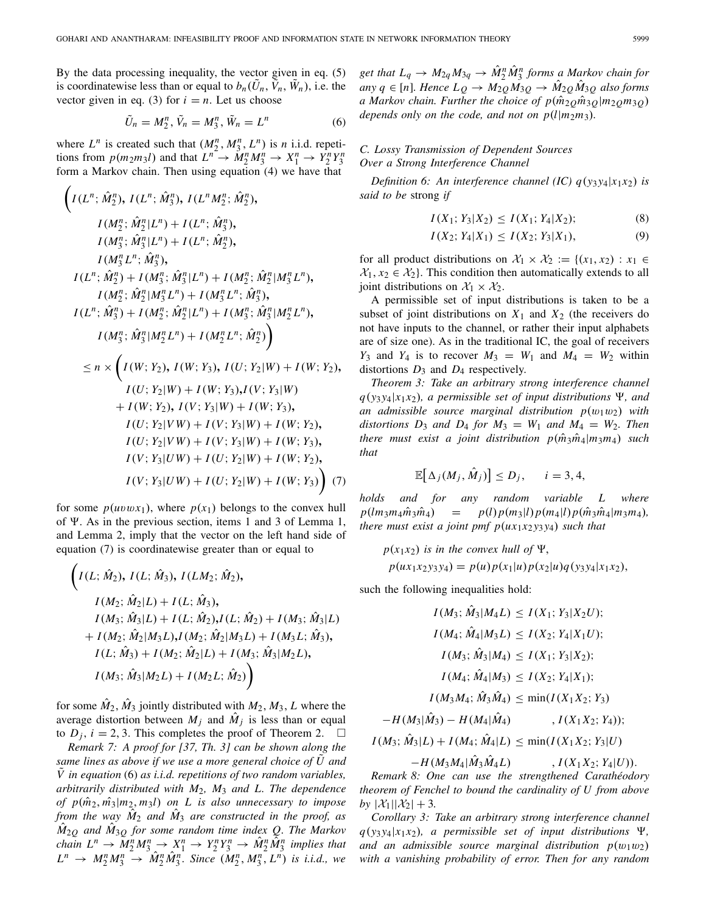By the data processing inequality, the vector given in eq. (5) is coordinatewise less than or equal to  $b_n(\tilde{U}_n, \tilde{V}_n, \tilde{W}_n)$ , i.e. the vector given in eq. (3) for  $i = n$ . Let us choose

$$
\tilde{U}_n = M_2^n, \tilde{V}_n = M_3^n, \tilde{W}_n = L^n \tag{6}
$$

where  $L^n$  is created such that  $(M_2^n, M_3^n, L^n)$  is *n* i.i.d. repetitions from  $p(m_2m_3l)$  and that  $L^n \to M_2^n M_3^n \to X_1^n \to Y_2^n Y_3^n$ form a Markov chain. Then using equation (4) we have that

$$
\left(I(L^{n}; \hat{M}_{2}^{n}), I(L^{n}; \hat{M}_{3}^{n}), I(L^{n}M_{2}^{n}; \hat{M}_{2}^{n}),\nI(M_{2}^{n}; \hat{M}_{2}^{n}|L^{n}) + I(L^{n}; \hat{M}_{3}^{n}),\nI(M_{3}^{n}; \hat{M}_{3}^{n}|L^{n}) + I(L^{n}; \hat{M}_{2}^{n}),\nI(M_{3}^{n}L^{n}; \hat{M}_{3}^{n}),\nI(L^{n}; \hat{M}_{2}^{n}) + I(M_{3}^{n}; \hat{M}_{3}^{n}|L^{n}) + I(M_{2}^{n}; \hat{M}_{2}^{n}|M_{3}^{n}L^{n}),\nI(M_{2}^{n}; \hat{M}_{2}^{n}|M_{3}^{n}L^{n}) + I(M_{3}^{n}L^{n}; \hat{M}_{3}^{n}),\nI(L^{n}; \hat{M}_{3}^{n}) + I(M_{2}^{n}; \hat{M}_{2}^{n}|L^{n}) + I(M_{3}^{n}; \hat{M}_{3}^{n}|M_{2}^{n}L^{n}),\nI(M_{3}^{n}; \hat{M}_{3}^{n}|M_{2}^{n}L^{n}) + I(M_{2}^{n}L^{n}; \hat{M}_{2}^{n})\right)\n\leq n \times \left(I(W; Y_{2}), I(W; Y_{3}), I(U; Y_{2}|W) + I(W; Y_{2}),\nI(U; Y_{2}|W) + I(W; Y_{3}), I(V; Y_{3}|W)\n+ I(W; Y_{2}), I(V; Y_{3}|W) + I(W; Y_{3}),\nI(U; Y_{2}|VW) + I(V; Y_{3}|W) + I(W; Y_{2}),\nI(U; Y_{2}|VW) + I(V; Y_{3}|W) + I(W; Y_{3}),\nI(V; Y_{3}|UW) + I(U; Y_{2}|W) + I(W; Y_{3}),\nI(V; Y_{3}|UW) + I(U; Y_{2}|W) + I(W; Y_{3})\right)
$$
(7)

for some  $p(uvwx_1)$ , where  $p(x_1)$  belongs to the convex hull of  $\Psi$ . As in the previous section, items 1 and 3 of Lemma 1, and Lemma 2, imply that the vector on the left hand side of equation (7) is coordinatewise greater than or equal to

$$
\left(I(L; \hat{M}_2), I(L; \hat{M}_3), I(LM_2; \hat{M}_2),I(M_2; \hat{M}_2|L) + I(L; \hat{M}_3),I(M_3; \hat{M}_3|L) + I(L; \hat{M}_2), I(L; \hat{M}_2) + I(M_3; \hat{M}_3|L)+ I(M_2; \hat{M}_2|M_3L), I(M_2; \hat{M}_2|M_3L) + I(M_3L; \hat{M}_3),I(L; \hat{M}_3) + I(M_2; \hat{M}_2|L) + I(M_3; \hat{M}_3|M_2L),I(M_3; \hat{M}_3|M_2L) + I(M_2L; \hat{M}_2)\right)
$$

for some  $\hat{M}_2$ ,  $\hat{M}_3$  jointly distributed with  $M_2$ ,  $M_3$ , L where the average distortion between  $M_i$  and  $\tilde{M}_i$  is less than or equal to  $D_i$ ,  $i = 2, 3$ . This completes the proof of Theorem 2.

*Remark 7: A proof for [37, Th. 3] can be shown along the same lines as above if we use a more general choice of U and*  $\tilde{V}$  in equation (6) as *i.i.d.* repetitions of two random variables, *arbitrarily distributed with M*2*, M*<sup>3</sup> *and L. The dependence of p* $(m_2, m_3|m_2, m_3l)$  *on L is also unnecessary to impose from the way M*ˆ <sup>2</sup> *and M*ˆ <sup>3</sup> *are constructed in the proof, as*  $\hat{M}_{2Q}$  and  $\hat{M}_{3Q}$  for some random time index Q. The Markov *chain*  $L^n \to \widetilde{M}_2^n M_3^n \to X_1^n \to Y_2^n Y_3^n \to \hat{M}_2^n \widetilde{M}_3^n$  implies that  $L^n \rightarrow M_2^n M_3^n \rightarrow \hat{M}_2^n \hat{M}_3^n$ . Since  $(M_2^n, M_3^n, L^n)$  is i.i.d., we

 $g$ et that  $L_q \rightarrow M_{2q} M_{3q} \rightarrow \hat{M}_2^n \hat{M}_3^n$  forms a Markov chain for *any*  $q$  ∈ [*n*]*.* Hence  $L_Q$  →  $M_{2Q}M_{3Q}$  →  $M_{2Q}M_{3Q}$  also forms *a* Markov chain. Further the choice of  $p(\hat{m}_2 \hat{m}_3 \hat{o} | m_2 \hat{o} m_3 \hat{o})$ *depends only on the code, and not on*  $p(l|m_2m_3)$ *.* 

## *C. Lossy Transmission of Dependent Sources Over a Strong Interference Channel*

*Definition 6: An interference channel (IC)*  $q(y_3y_4|x_1x_2)$  *<i>is said to be* strong *if*

$$
I(X_1; Y_3 | X_2) \le I(X_1; Y_4 | X_2); \tag{8}
$$

$$
I(X_2; Y_4 | X_1) \le I(X_2; Y_3 | X_1), \tag{9}
$$

for all product distributions on  $\mathcal{X}_1 \times \mathcal{X}_2 := \{(x_1, x_2) : x_1 \in$  $\mathcal{X}_1, x_2 \in \mathcal{X}_2$ . This condition then automatically extends to all joint distributions on  $\mathcal{X}_1 \times \mathcal{X}_2$ .

A permissible set of input distributions is taken to be a subset of joint distributions on  $X_1$  and  $X_2$  (the receivers do not have inputs to the channel, or rather their input alphabets are of size one). As in the traditional IC, the goal of receivers  $Y_3$  and  $Y_4$  is to recover  $M_3 = W_1$  and  $M_4 = W_2$  within distortions *D*<sup>3</sup> and *D*<sup>4</sup> respectively.

*Theorem 3: Take an arbitrary strong interference channel*  $q(y_3y_4|x_1x_2)$ , a permissible set of input distributions  $\Psi$ , and an admissible source marginal distribution  $p(w_1w_2)$  with *distortions*  $D_3$  *and*  $D_4$  *for*  $M_3 = W_1$  *and*  $M_4 = W_2$ *. Then there must exist a joint distribution*  $p(\hat{m}_3 \hat{m}_4 | m_3 m_4)$  *such that*

$$
\mathbb{E}[\Delta_j(M_j, \hat{M}_j)] \le D_j, \quad i = 3, 4,
$$

*holds and for any random variable L where*  $p(\ln 3m_4\hat{m}_3\hat{m}_4) = p(l)p(m_3|l)p(m_4|l)p(\hat{m}_3\hat{m}_4|m_3m_4)$ *there must exist a joint pmf*  $p(ux_1x_2y_3y_4)$  *such that* 

$$
p(x_1x_2) \text{ is in the convex hull of } \Psi,
$$
  

$$
p(ux_1x_2y_3y_4) = p(u)p(x_1|u)p(x_2|u)q(y_3y_4|x_1x_2),
$$

such the following inequalities hold:

$$
I(M_3; \hat{M}_3|M_4L) \leq I(X_1; Y_3|X_2U);
$$
  
\n
$$
I(M_4; \hat{M}_4|M_3L) \leq I(X_2; Y_4|X_1U);
$$
  
\n
$$
I(M_3; \hat{M}_3|M_4) \leq I(X_1; Y_3|X_2);
$$
  
\n
$$
I(M_4; \hat{M}_4|M_3) \leq I(X_2; Y_4|X_1);
$$
  
\n
$$
I(M_3M_4; \hat{M}_3\hat{M}_4) \leq \min(I(X_1X_2; Y_3))
$$
  
\n
$$
-H(M_3|\hat{M}_3) - H(M_4|\hat{M}_4) \qquad , I(X_1X_2; Y_4));
$$
  
\n
$$
I(M_3; \hat{M}_3|L) + I(M_4; \hat{M}_4|L) \leq \min(I(X_1X_2; Y_3|U))
$$

 $-H(M_3M_4|\hat{M}_3\hat{M}_4L)$  ,  $I(X_1X_2; Y_4|U)$ ). *Remark 8: One can use the strengthened Carathéodory theorem of Fenchel to bound the cardinality of U from above by*  $|\mathcal{X}_1||\mathcal{X}_2| + 3$ .

*Corollary 3: Take an arbitrary strong interference channel*  $q(y_3y_4|x_1x_2)$ *, a permissible set of input distributions*  $\Psi$ *,* and an admissible source marginal distribution  $p(w_1w_2)$ *with a vanishing probability of error. Then for any random*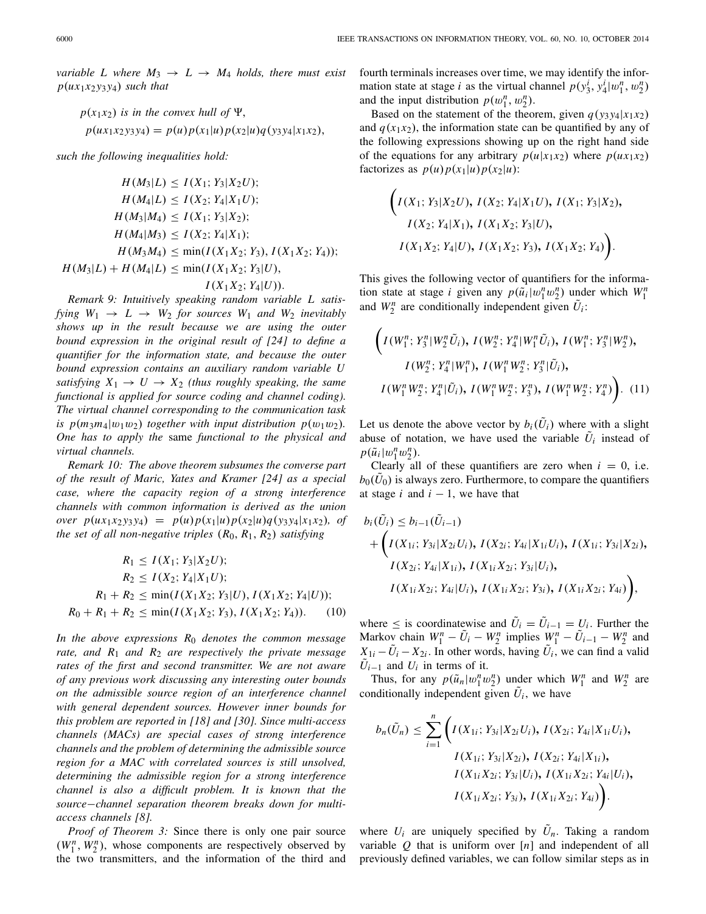*variable L where*  $M_3 \rightarrow L \rightarrow M_4$  *holds, there must exist*  $p(ux_1x_2y_3y_4)$  *such that* 

 $p(x_1x_2)$  *is in the convex hull of*  $\Psi$ ,  $p(ux_1x_2y_3y_4) = p(u)p(x_1|u)p(x_2|u)q(y_3y_4|x_1x_2),$ 

*such the following inequalities hold:*

$$
H(M_3|L) \le I(X_1; Y_3|X_2U);
$$
  
\n
$$
H(M_4|L) \le I(X_2; Y_4|X_1U);
$$
  
\n
$$
H(M_3|M_4) \le I(X_1; Y_3|X_2);
$$
  
\n
$$
H(M_4|M_3) \le I(X_2; Y_4|X_1);
$$
  
\n
$$
H(M_3M_4) \le \min(I(X_1X_2; Y_3), I(X_1X_2; Y_4));
$$
  
\n
$$
H(M_3|L) + H(M_4|L) \le \min(I(X_1X_2; Y_3|U),
$$

 $I(X_1X_2; Y_4|U)$ .

*Remark 9: Intuitively speaking random variable L satisfying*  $W_1 \rightarrow L \rightarrow W_2$  *for sources*  $W_1$  *and*  $W_2$  *inevitably shows up in the result because we are using the outer bound expression in the original result of [24] to define a quantifier for the information state, and because the outer bound expression contains an auxiliary random variable U satisfying*  $X_1 \rightarrow U \rightarrow X_2$  *(thus roughly speaking, the same functional is applied for source coding and channel coding). The virtual channel corresponding to the communication task is p*( $m_3m_4|w_1w_2$ ) *together with input distribution p*( $w_1w_2$ )*. One has to apply the* same *functional to the physical and virtual channels.*

*Remark 10: The above theorem subsumes the converse part of the result of Maric, Yates and Kramer [24] as a special case, where the capacity region of a strong interference channels with common information is derived as the union*  $over p(ux_1x_2y_3y_4) = p(u)p(x_1|u)p(x_2|u)q(y_3y_4|x_1x_2)$ , of *the set of all non-negative triples*  $(R_0, R_1, R_2)$  *satisfying* 

$$
R_1 \le I(X_1; Y_3 | X_2 U);
$$
  
\n
$$
R_2 \le I(X_2; Y_4 | X_1 U);
$$
  
\n
$$
R_1 + R_2 \le \min(I(X_1 X_2; Y_3 | U), I(X_1 X_2; Y_4 | U));
$$
  
\n
$$
R_0 + R_1 + R_2 \le \min(I(X_1 X_2; Y_3), I(X_1 X_2; Y_4)).
$$
 (10)

*In the above expressions R*<sup>0</sup> *denotes the common message rate, and R*<sup>1</sup> *and R*<sup>2</sup> *are respectively the private message rates of the first and second transmitter. We are not aware of any previous work discussing any interesting outer bounds on the admissible source region of an interference channel with general dependent sources. However inner bounds for this problem are reported in [18] and [30]. Since multi-access channels (MACs) are special cases of strong interference channels and the problem of determining the admissible source region for a MAC with correlated sources is still unsolved, determining the admissible region for a strong interference channel is also a difficult problem. It is known that the source*−*channel separation theorem breaks down for multiaccess channels [8].*

*Proof of Theorem 3:* Since there is only one pair source  $(W_1^n, W_2^n)$ , whose components are respectively observed by the two transmitters, and the information of the third and fourth terminals increases over time, we may identify the information state at stage *i* as the virtual channel  $p(y_3^i, y_4^i | w_1^n, w_2^n)$ and the input distribution  $p(w_1^n, w_2^n)$ .

Based on the statement of the theorem, given  $q(y_3y_4|x_1x_2)$ and  $q(x_1x_2)$ , the information state can be quantified by any of the following expressions showing up on the right hand side of the equations for any arbitrary  $p(u|x_1x_2)$  where  $p(ux_1x_2)$ factorizes as  $p(u)p(x_1|u)p(x_2|u)$ :

$$
\left(I(X_1; Y_3|X_2U), I(X_2; Y_4|X_1U), I(X_1; Y_3|X_2), I(X_2; Y_4|X_1), I(X_1X_2; Y_3|U), I(X_1X_2; Y_4|U), I(X_1X_2; Y_3), I(X_1X_2; Y_4)\right).
$$

This gives the following vector of quantifiers for the information state at stage *i* given any  $p(\tilde{u}_i|w_1^n w_2^n)$  under which  $W_1^n$ and  $W_2^n$  are conditionally independent given  $\tilde{U}_i$ :

$$
\left(I(W_1^n; Y_3^n | W_2^n \tilde{U}_i), I(W_2^n; Y_4^n | W_1^n \tilde{U}_i), I(W_1^n; Y_3^n | W_2^n),I(W_2^n; Y_4^n | W_1^n), I(W_1^n W_2^n; Y_3^n | \tilde{U}_i),I(W_1^n W_2^n; Y_4^n | \tilde{U}_i), I(W_1^n W_2^n; Y_3^n), I(W_1^n W_2^n; Y_4^n)\right). (11)
$$

Let us denote the above vector by  $b_i(\tilde{U}_i)$  where with a slight abuse of notation, we have used the variable  $U_i$  instead of  $p(\tilde{u}_i|w_1^n w_2^n)$ .

Clearly all of these quantifiers are zero when  $i = 0$ , i.e.  $b_0$ ( $U_0$ ) is always zero. Furthermore, to compare the quantifiers at stage  $i$  and  $i - 1$ , we have that

$$
b_i(\tilde{U}_i) \leq b_{i-1}(\tilde{U}_{i-1})
$$
  
+ 
$$
\left(I(X_{1i}; Y_{3i}|X_{2i}U_i), I(X_{2i}; Y_{4i}|X_{1i}U_i), I(X_{1i}; Y_{3i}|X_{2i}),\right.\
$$

$$
I(X_{2i}; Y_{4i}|X_{1i}), I(X_{1i}X_{2i}; Y_{3i}|U_i),
$$

$$
I(X_{1i}X_{2i}; Y_{4i}|U_i), I(X_{1i}X_{2i}; Y_{3i}), I(X_{1i}X_{2i}; Y_{4i})\right),
$$

where  $\leq$  is coordinatewise and  $\tilde{U}_i = \tilde{U}_{i-1} = U_i$ . Further the Markov chain  $W_1^n - \tilde{U}_i - W_2^n$  implies  $W_1^n - \tilde{U}_{i-1} - W_2^n$  and  $X_{1i} - U_i - X_{2i}$ . In other words, having  $U_i$ , we can find a valid  $\tilde{U}_{i-1}$  and  $U_i$  in terms of it.

Thus, for any  $p(\tilde{u}_n|w_1^n w_2^n)$  under which  $W_1^n$  and  $W_2^n$  are conditionally independent given  $U_i$ , we have

$$
b_n(\tilde{U}_n) \leq \sum_{i=1}^n \Biggl( I(X_{1i}; Y_{3i}|X_{2i}U_i), I(X_{2i}; Y_{4i}|X_{1i}U_i),
$$
  
\n
$$
I(X_{1i}; Y_{3i}|X_{2i}), I(X_{2i}; Y_{4i}|X_{1i}),
$$
  
\n
$$
I(X_{1i}X_{2i}; Y_{3i}|U_i), I(X_{1i}X_{2i}; Y_{4i}|U_i),
$$
  
\n
$$
I(X_{1i}X_{2i}; Y_{3i}), I(X_{1i}X_{2i}; Y_{4i}) \Biggr).
$$

where  $U_i$  are uniquely specified by  $\bar{U}_n$ . Taking a random variable *Q* that is uniform over [*n*] and independent of all previously defined variables, we can follow similar steps as in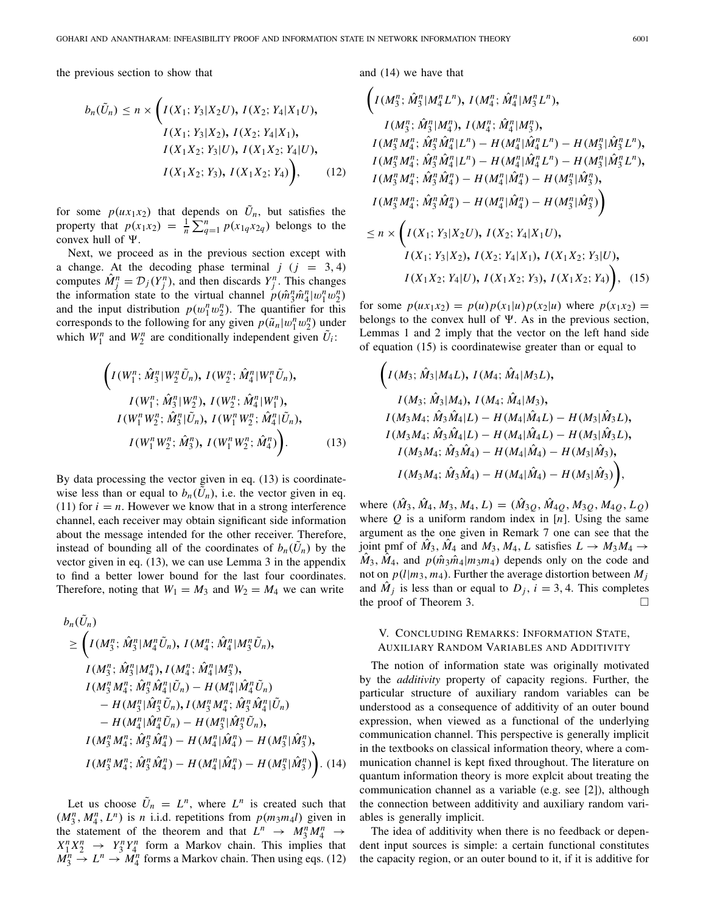the previous section to show that

$$
b_n(\tilde{U}_n) \le n \times \left(I(X_1; Y_3 | X_2 U), I(X_2; Y_4 | X_1 U),I(X_1; Y_3 | X_2), I(X_2; Y_4 | X_1),I(X_1 X_2; Y_3 | U), I(X_1 X_2; Y_4 | U),I(X_1 X_2; Y_3), I(X_1 X_2; Y_4)\right),
$$
 (12)

for some  $p(ux_1x_2)$  that depends on  $\tilde{U}_n$ , but satisfies the property that  $p(x_1x_2) = \frac{1}{n}\sum_{q=1}^n p(x_{1q}x_{2q})$  belongs to the convex hull of  $\Psi$ .

Next, we proceed as in the previous section except with a change. At the decoding phase terminal  $j$  ( $j = 3, 4$ ) computes  $\hat{M}_j^n = \mathcal{D}_j(Y_j^n)$ , and then discards  $Y_j^n$ . This changes the information state to the virtual channel  $p(\hat{m}_3^n \hat{m}_4^n | w_1^n w_2^n)$ and the input distribution  $p(w_1^n w_2^n)$ . The quantifier for this corresponds to the following for any given  $p(\tilde{u}_n|w_1^n w_2^n)$  under which  $W_1^n$  and  $W_2^n$  are conditionally independent given  $\tilde{U}_i$ :

$$
\left(I(W_1^n; \hat{M}_3^n | W_2^n \tilde{U}_n), I(W_2^n; \hat{M}_4^n | W_1^n \tilde{U}_n), I(W_1^n; \hat{M}_3^n | W_2^n), I(W_2^n; \hat{M}_4^n | W_1^n), I(W_1^n W_2^n; \hat{M}_3^n | \tilde{U}_n), I(W_1^n W_2^n; \hat{M}_4^n | \tilde{U}_n), I(W_1^n W_2^n; \hat{M}_4^n)\right). \tag{13}
$$

By data processing the vector given in eq. (13) is coordinatewise less than or equal to  $b_n(U_n)$ , i.e. the vector given in eq. (11) for  $i = n$ . However we know that in a strong interference channel, each receiver may obtain significant side information about the message intended for the other receiver. Therefore, instead of bounding all of the coordinates of  $b_n(U_n)$  by the vector given in eq. (13), we can use Lemma 3 in the appendix to find a better lower bound for the last four coordinates. Therefore, noting that  $W_1 = M_3$  and  $W_2 = M_4$  we can write

$$
b_n(\tilde{U}_n)
$$
\n
$$
\geq \left(I(M_3^n; \hat{M}_3^n | M_4^n \tilde{U}_n), I(M_4^n; \hat{M}_4^n | M_3^n \tilde{U}_n), I(M_3^n; \hat{M}_3^n | M_4^n), I(M_4^n; \hat{M}_4^n | M_3^n), I(M_3^n M_4^n; \hat{M}_3^n \hat{M}_4^n | \tilde{U}_n) - H(M_4^n | \hat{M}_4^n \tilde{U}_n) - H(M_3^n | \hat{M}_3^n \tilde{U}_n), I(M_3^n M_4^n; \hat{M}_3^n \hat{M}_4^n | \tilde{U}_n) - H(M_4^n | \hat{M}_4^n \tilde{U}_n) - H(M_4^n | \hat{M}_4^n \tilde{U}_n) - H(M_3^n | \hat{M}_3^n \tilde{U}_n), I(M_3^n M_4^n; \hat{M}_3^n \hat{M}_4^n) - H(M_4^n | \hat{M}_4^n) - H(M_3^n | \hat{M}_3^n), I(M_3^n M_4^n; \hat{M}_3^n \hat{M}_4^n) - H(M_4^n | \hat{M}_4^n) - H(M_3^n | \hat{M}_3^n) \right). (14)
$$

Let us choose  $U_n = L^n$ , where  $L^n$  is created such that  $(M_3^n, M_4^n, L^n)$  is *n* i.i.d. repetitions from  $p(m_3m_4l)$  given in the statement of the theorem and that  $L^n \rightarrow M_3^n M_4^n \rightarrow$  $X_1^n X_2^n \rightarrow Y_3^n Y_4^n$  form a Markov chain. This implies that  $M_3^n \stackrel{\sim}{\rightarrow} L^n \rightarrow M_4^n$  forms a Markov chain. Then using eqs. (12) and (14) we have that

$$
\left(I(M_3^n; \hat{M}_3^n | M_4^n L^n), I(M_4^n; \hat{M}_4^n | M_3^n L^n),\nI(M_3^n; \hat{M}_3^n | M_4^n), I(M_4^n; \hat{M}_4^n | M_3^n),\nI(M_3^n M_4^n; \hat{M}_3^n \hat{M}_4^n | L^n) - H(M_4^n | \hat{M}_4^n L^n) - H(M_3^n | \hat{M}_3^n L^n),\nI(M_3^n M_4^n; \hat{M}_3^n \hat{M}_4^n | L^n) - H(M_4^n | \hat{M}_4^n L^n) - H(M_3^n | \hat{M}_3^n L^n),\nI(M_3^n M_4^n; \hat{M}_3^n \hat{M}_4^n) - H(M_4^n | \hat{M}_4^n) - H(M_3^n | \hat{M}_3^n),\nI(M_3^n M_4^n; \hat{M}_3^n \hat{M}_4^n) - H(M_4^n | \hat{M}_4^n) - H(M_3^n | \hat{M}_3^n)\n\right)\n\le n \times \left(I(X_1; Y_3 | X_2 U), I(X_2; Y_4 | X_1 U),\nI(X_1; Y_3 | X_2), I(X_2; Y_4 | X_1), I(X_1 X_2; Y_3 | U),\nI(X_1 X_2; Y_4 | U), I(X_1 X_2; Y_3), I(X_1 X_2; Y_4)\right), (15)
$$

for some  $p(ux_1x_2) = p(u)p(x_1|u)p(x_2|u)$  where  $p(x_1x_2) =$ belongs to the convex hull of  $\Psi$ . As in the previous section, Lemmas 1 and 2 imply that the vector on the left hand side of equation (15) is coordinatewise greater than or equal to

$$
\left(I(M_3; \hat{M}_3|M_4L), I(M_4; \hat{M}_4|M_3L),I(M_3; \hat{M}_3|M_4), I(M_4; \hat{M}_4|M_3),I(M_3M_4; \hat{M}_3\hat{M}_4|L) - H(M_4|\hat{M}_4L) - H(M_3|\hat{M}_3L),I(M_3M_4; \hat{M}_3\hat{M}_4|L) - H(M_4|\hat{M}_4L) - H(M_3|\hat{M}_3L),I(M_3M_4; \hat{M}_3\hat{M}_4) - H(M_4|\hat{M}_4) - H(M_3|\hat{M}_3),I(M_3M_4; \hat{M}_3\hat{M}_4) - H(M_4|\hat{M}_4) - H(M_3|\hat{M}_3)\right),
$$

where  $(\hat{M}_3, \hat{M}_4, M_3, M_4, L) = (\hat{M}_3 \hat{Q}, \hat{M}_4 \hat{Q}, M_3 \hat{Q}, M_4 \hat{Q}, L \hat{Q})$ where  $Q$  is a uniform random index in  $[n]$ . Using the same argument as the one given in Remark 7 one can see that the joint pmf of  $\hat{M}_3$ ,  $\hat{M}_4$  and  $M_3$ ,  $M_4$ , L satisfies  $L \rightarrow M_3M_4 \rightarrow$  $M_3$ ,  $M_4$ , and  $p(\hat{m}_3 \hat{m}_4 | m_3 m_4)$  depends only on the code and not on  $p(l|m_3, m_4)$ . Further the average distortion between  $M_i$ and  $\hat{M}_i$  is less than or equal to  $D_i$ ,  $i = 3, 4$ . This completes the proof of Theorem 3.  $\Box$ 

# V. CONCLUDING REMARKS: INFORMATION STATE, AUXILIARY RANDOM VARIABLES AND ADDITIVITY

The notion of information state was originally motivated by the *additivity* property of capacity regions. Further, the particular structure of auxiliary random variables can be understood as a consequence of additivity of an outer bound expression, when viewed as a functional of the underlying communication channel. This perspective is generally implicit in the textbooks on classical information theory, where a communication channel is kept fixed throughout. The literature on quantum information theory is more explcit about treating the communication channel as a variable (e.g. see [2]), although the connection between additivity and auxiliary random variables is generally implicit.

The idea of additivity when there is no feedback or dependent input sources is simple: a certain functional constitutes the capacity region, or an outer bound to it, if it is additive for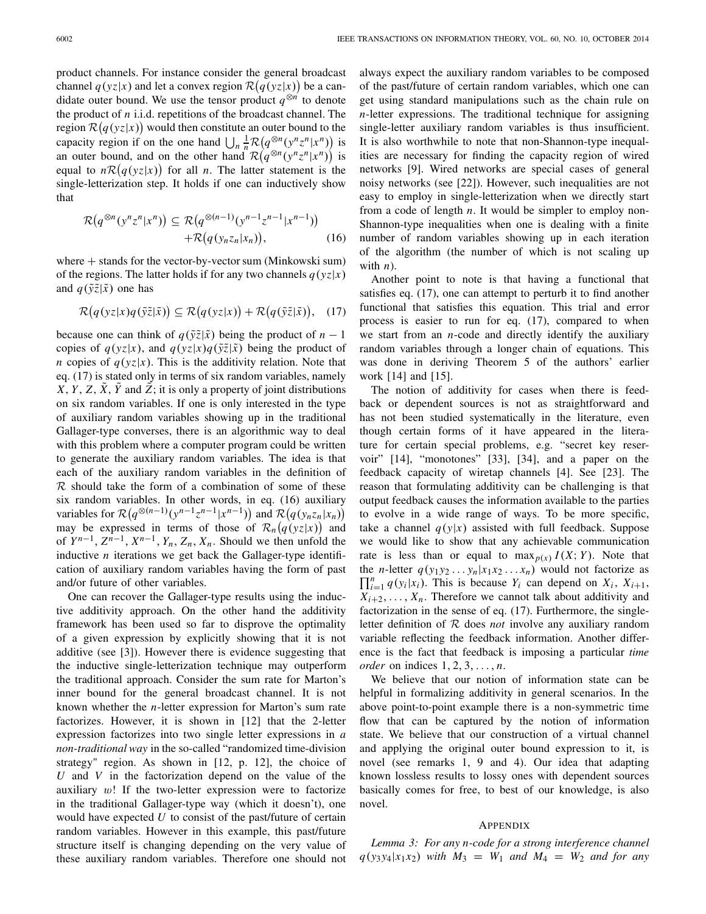product channels. For instance consider the general broadcast channel  $q(yz|x)$  and let a convex region  $R(q(yz|x))$  be a candidate outer bound. We use the tensor product  $q^{\otimes n}$  to denote the product of *n* i.i.d. repetitions of the broadcast channel. The region  $\mathcal{R}(q(yz|x))$  would then constitute an outer bound to the capacity region if on the one hand  $\bigcup_{n} \frac{1}{n} \mathcal{R} \left( q^{\otimes n} (y^n z^n | x^n) \right)$  is an outer bound, and on the other hand  $\mathcal{R}(q^{\otimes n}(y^n z^n | x^n))$  is equal to  $n\mathcal{R}(q(yz|x))$  for all *n*. The latter statement is the single-letterization step. It holds if one can inductively show that

$$
\mathcal{R}(q^{\otimes n}(y^n z^n | x^n)) \subseteq \mathcal{R}(q^{\otimes (n-1)}(y^{n-1} z^{n-1} | x^{n-1}))
$$
  
 
$$
+ \mathcal{R}(q(y_n z_n | x_n)), \qquad (16)
$$

where  $+$  stands for the vector-by-vector sum (Minkowski sum) of the regions. The latter holds if for any two channels  $q(yz|x)$ and  $q(\tilde{y}\tilde{z}|\tilde{x})$  one has

$$
\mathcal{R}(q(\mathbf{y}z|x)q(\tilde{\mathbf{y}}\tilde{z}|\tilde{x})) \subseteq \mathcal{R}(q(\mathbf{y}z|x)) + \mathcal{R}(q(\tilde{\mathbf{y}}\tilde{z}|\tilde{x})), \quad (17)
$$

because one can think of  $q(\tilde{y}\tilde{z}|\tilde{x})$  being the product of  $n-1$ copies of  $q(yz|x)$ , and  $q(yz|x)q(\tilde{y}\tilde{z}|\tilde{x})$  being the product of *n* copies of  $q(yz|x)$ . This is the additivity relation. Note that eq. (17) is stated only in terms of six random variables, namely *X*, *Y*, *Z*, *X*, *Y* and *Z*; it is only a property of joint distributions on six random variables. If one is only interested in the type of auxiliary random variables showing up in the traditional Gallager-type converses, there is an algorithmic way to deal with this problem where a computer program could be written to generate the auxiliary random variables. The idea is that each of the auxiliary random variables in the definition of *R* should take the form of a combination of some of these six random variables. In other words, in eq. (16) auxiliary variables for  $\mathcal{R}(q^{\otimes (n-1)}(y^{n-1}z^{n-1}|x^{n-1}))$  and  $\mathcal{R}(q(y_nz_n|x_n))$ may be expressed in terms of those of  $\mathcal{R}_n(q(yz|x))$  and of  $Y^{n-1}$ ,  $Z^{n-1}$ ,  $X^{n-1}$ ,  $Y_n$ ,  $Z_n$ ,  $X_n$ . Should we then unfold the inductive *n* iterations we get back the Gallager-type identification of auxiliary random variables having the form of past and/or future of other variables.

One can recover the Gallager-type results using the inductive additivity approach. On the other hand the additivity framework has been used so far to disprove the optimality of a given expression by explicitly showing that it is not additive (see [3]). However there is evidence suggesting that the inductive single-letterization technique may outperform the traditional approach. Consider the sum rate for Marton's inner bound for the general broadcast channel. It is not known whether the *n*-letter expression for Marton's sum rate factorizes. However, it is shown in [12] that the 2-letter expression factorizes into two single letter expressions in *a non-traditional way* in the so-called "randomized time-division strategy" region. As shown in [12, p. 12], the choice of *U* and *V* in the factorization depend on the value of the auxiliary  $w!$ ! If the two-letter expression were to factorize in the traditional Gallager-type way (which it doesn't), one would have expected *U* to consist of the past/future of certain random variables. However in this example, this past/future structure itself is changing depending on the very value of these auxiliary random variables. Therefore one should not

always expect the auxiliary random variables to be composed of the past/future of certain random variables, which one can get using standard manipulations such as the chain rule on *n*-letter expressions. The traditional technique for assigning single-letter auxiliary random variables is thus insufficient. It is also worthwhile to note that non-Shannon-type inequalities are necessary for finding the capacity region of wired networks [9]. Wired networks are special cases of general noisy networks (see [22]). However, such inequalities are not easy to employ in single-letterization when we directly start from a code of length *n*. It would be simpler to employ non-Shannon-type inequalities when one is dealing with a finite number of random variables showing up in each iteration of the algorithm (the number of which is not scaling up with *n*).

Another point to note is that having a functional that satisfies eq. (17), one can attempt to perturb it to find another functional that satisfies this equation. This trial and error process is easier to run for eq. (17), compared to when we start from an *n*-code and directly identify the auxiliary random variables through a longer chain of equations. This was done in deriving Theorem 5 of the authors' earlier work [14] and [15].

The notion of additivity for cases when there is feedback or dependent sources is not as straightforward and has not been studied systematically in the literature, even though certain forms of it have appeared in the literature for certain special problems, e.g. "secret key reservoir" [14], "monotones" [33], [34], and a paper on the feedback capacity of wiretap channels [4]. See [23]. The reason that formulating additivity can be challenging is that output feedback causes the information available to the parties to evolve in a wide range of ways. To be more specific, take a channel  $q(y|x)$  assisted with full feedback. Suppose we would like to show that any achievable communication rate is less than or equal to  $\max_{p(x)} I(X; Y)$ . Note that  $\prod_{i=1}^{n} q(y_i|x_i)$ . This is because  $Y_i$  can depend on  $X_i$ ,  $X_{i+1}$ , the *n*-letter  $q(y_1y_2 \ldots y_n|x_1x_2 \ldots x_n)$  would not factorize as  $X_{i+2}, \ldots, X_n$ . Therefore we cannot talk about additivity and factorization in the sense of eq. (17). Furthermore, the singleletter definition of *R* does *not* involve any auxiliary random variable reflecting the feedback information. Another difference is the fact that feedback is imposing a particular *time order* on indices 1, 2, 3,..., *n*.

We believe that our notion of information state can be helpful in formalizing additivity in general scenarios. In the above point-to-point example there is a non-symmetric time flow that can be captured by the notion of information state. We believe that our construction of a virtual channel and applying the original outer bound expression to it, is novel (see remarks 1, 9 and 4). Our idea that adapting known lossless results to lossy ones with dependent sources basically comes for free, to best of our knowledge, is also novel.

#### **APPENDIX**

*Lemma 3: For any n-code for a strong interference channel*  $q(y_3y_4|x_1x_2)$  *with*  $M_3 = W_1$  *and*  $M_4 = W_2$  *and for any*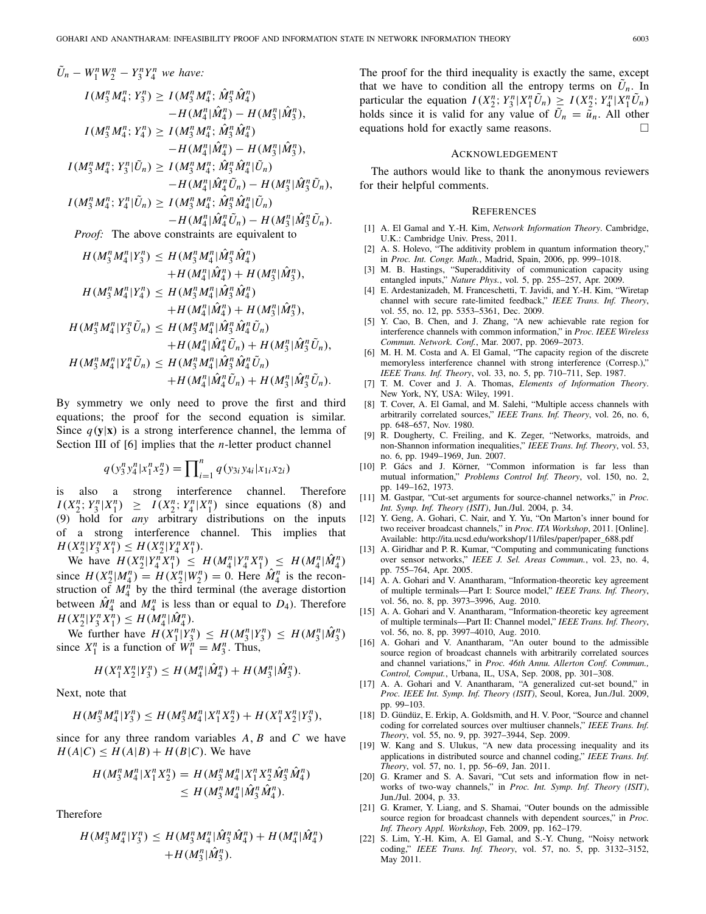$$
\tilde{U}_n - W_1^n W_2^n - Y_3^n Y_4^n \text{ we have:}
$$
\n
$$
I(M_3^n M_4^n; Y_3^n) \ge I(M_3^n M_4^n; \hat{M}_3^n \hat{M}_4^n)
$$
\n
$$
-H(M_4^n | \hat{M}_4^n) - H(M_3^n | \hat{M}_3^n),
$$
\n
$$
I(M_3^n M_4^n; Y_4^n) \ge I(M_3^n M_4^n; \hat{M}_3^n \hat{M}_4^n)
$$
\n
$$
-H(M_4^n | \hat{M}_4^n) - H(M_3^n | \hat{M}_3^n),
$$
\n
$$
I(M_3^n M_4^n; Y_3^n | \tilde{U}_n) \ge I(M_3^n M_4^n; \hat{M}_3^n \hat{M}_4^n | \tilde{U}_n)
$$
\n
$$
-H(M_4^n | \hat{M}_4^n \tilde{U}_n) - H(M_3^n | \hat{M}_3^n \tilde{U}_n),
$$
\n
$$
I(M_3^n M_4^n; Y_4^n | \tilde{U}_n) \ge I(M_3^n M_4^n; \hat{M}_3^n \hat{M}_4^n | \tilde{U}_n)
$$
\n
$$
-H(M_4^n | \hat{M}_4^n \tilde{U}_n) - H(M_3^n | \hat{M}_3^n \tilde{U}_n).
$$
\n*Proof:* The above constraints are equivalent to

$$
H(M_3^n M_4^n | Y_3^n) \leq H(M_3^n M_4^n | \hat{M}_3^n \hat{M}_4^n) + H(M_4^n | \hat{M}_4^n) + H(M_3^n | \hat{M}_3^n), H(M_3^n M_4^n | Y_4^n) \leq H(M_3^n M_4^n | \hat{M}_3^n \hat{M}_4^n) + H(M_4^n | \hat{M}_4^n) + H(M_3^n | \hat{M}_3^n), H(M_3^n M_4^n | Y_3^n \tilde{U}_n) \leq H(M_3^n M_4^n | \hat{M}_3^n \hat{M}_4^n \tilde{U}_n) + H(M_4^n | \hat{M}_4^n \tilde{U}_n) + H(M_3^n | \hat{M}_3^n \tilde{U}_n), H(M_3^n M_4^n | Y_4^n \tilde{U}_n) \leq H(M_3^n M_4^n | \hat{M}_3^n \hat{M}_4^n \tilde{U}_n) + H(M_4^n | \hat{M}_4^n \tilde{U}_n) + H(M_3^n | \hat{M}_3^n \tilde{U}_n).
$$

By symmetry we only need to prove the first and third equations; the proof for the second equation is similar. Since  $q(y|x)$  is a strong interference channel, the lemma of Section III of [6] implies that the *n*-letter product channel

$$
q(y_3^n y_4^n | x_1^n x_2^n) = \prod_{i=1}^n q(y_{3i} y_{4i} | x_{1i} x_{2i})
$$

is also a strong interference channel. Therefore  $I(X_2^n; Y_3^n | X_1^n)$  $I_1^n$ )  $\geq I(X_2^n; Y_4^n | X_1^n)$  since equations (8) and (9) hold for *any* arbitrary distributions on the inputs of a strong interference channel. This implies that  $H(X_2^n | Y_3^n X_1^n) \le H(X_2^n | Y_4^n X_1^n).$ 

 $\mathbf{W} \in \text{ have } H(X_2^n | Y_4^n X_1^n) \leq H(M_4^n | Y_4^n X_1^n) \leq H(M_4^n | \hat{M}_4^n)$ since  $H(X_2^n | M_4^n) = H(X_2^n | W_2^n) = 0$ . Here  $\hat{M}_4^n$  is the reconstruction of  $M_4^n$  by the third terminal (the average distortion between  $\hat{M}_4^n$  and  $M_4^n$  is less than or equal to  $D_4$ ). Therefore  $H(X_2^n | Y_3^n X_1^n) \le H(M_4^n | \hat{M}_4^n).$ 

We further have  $H(X_1^n | Y_3^n) \leq H(M_3^n | Y_3^n) \leq H(M_3^n | \hat{M}_3^n)$ since  $X_1^n$  is a function of  $W_1^n = M_3^n$ . Thus,

$$
H(X_1^n X_2^n | Y_3^n) \leq H(M_4^n | \hat{M}_4^n) + H(M_3^n | \hat{M}_3^n).
$$

Next, note that

$$
H(M_3^nM_4^n|Y_3^n) \leq H(M_3^nM_4^n|X_1^nX_2^n) + H(X_1^nX_2^n|Y_3^n),
$$

since for any three random variables *A*, *B* and *C* we have  $H(A|C) \leq H(A|B) + H(B|C)$ . We have

$$
H(M_3^n M_4^n | X_1^n X_2^n) = H(M_3^n M_4^n | X_1^n X_2^n \hat{M}_3^n \hat{M}_4^n)
$$
  
\n
$$
\leq H(M_3^n M_4^n | \hat{M}_3^n \hat{M}_4^n).
$$

Therefore

$$
H(M_3^nM_4^n|Y_3^n) \leq H(M_3^nM_4^n|\hat{M}_3^n\hat{M}_4^n) + H(M_4^n|\hat{M}_4^n) + H(M_3^n|\hat{M}_3^n).
$$

The proof for the third inequality is exactly the same, except that we have to condition all the entropy terms on  $U_n$ . In particular the equation  $I(X_2^n; Y_3^n | X_1^n \tilde{U}_n) \geq I(X_2^n; Y_4^n | X_1^n \tilde{U}_n)$ holds since it is valid for any value of  $\tilde{U}_n = \tilde{u}_n$ . All other equations hold for exactly same reasons.  $\Box$ 

#### ACKNOWLEDGEMENT

The authors would like to thank the anonymous reviewers for their helpful comments.

#### **REFERENCES**

- [1] A. El Gamal and Y.-H. Kim, *Network Information Theory*. Cambridge, U.K.: Cambridge Univ. Press, 2011.
- [2] A. S. Holevo, "The additivity problem in quantum information theory," in *Proc. Int. Congr. Math.*, Madrid, Spain, 2006, pp. 999–1018.
- [3] M. B. Hastings, "Superadditivity of communication capacity using entangled inputs," *Nature Phys.*, vol. 5, pp. 255–257, Apr. 2009.
- [4] E. Ardestanizadeh, M. Franceschetti, T. Javidi, and Y.-H. Kim, "Wiretap channel with secure rate-limited feedback," *IEEE Trans. Inf. Theory*, vol. 55, no. 12, pp. 5353–5361, Dec. 2009.
- [5] Y. Cao, B. Chen, and J. Zhang, "A new achievable rate region for interference channels with common information," in *Proc. IEEE Wireless Commun. Network. Conf.*, Mar. 2007, pp. 2069–2073.
- [6] M. H. M. Costa and A. El Gamal, "The capacity region of the discrete memoryless interference channel with strong interference (Corresp.)," *IEEE Trans. Inf. Theory*, vol. 33, no. 5, pp. 710–711, Sep. 1987.
- [7] T. M. Cover and J. A. Thomas, *Elements of Information Theory*. New York, NY, USA: Wiley, 1991.
- [8] T. Cover, A. El Gamal, and M. Salehi, "Multiple access channels with arbitrarily correlated sources," *IEEE Trans. Inf. Theory*, vol. 26, no. 6, pp. 648–657, Nov. 1980.
- [9] R. Dougherty, C. Freiling, and K. Zeger, "Networks, matroids, and non-Shannon information inequalities," *IEEE Trans. Inf. Theory*, vol. 53, no. 6, pp. 1949–1969, Jun. 2007.
- [10] P. Gács and J. Körner, "Common information is far less than mutual information," *Problems Control Inf. Theory*, vol. 150, no. 2, pp. 149–162, 1973.
- [11] M. Gastpar, "Cut-set arguments for source-channel networks," in *Proc. Int. Symp. Inf. Theory (ISIT)*, Jun./Jul. 2004, p. 34.
- [12] Y. Geng, A. Gohari, C. Nair, and Y. Yu, "On Marton's inner bound for two receiver broadcast channels," in *Proc. ITA Workshop*, 2011. [Online]. Available: http://ita.ucsd.edu/workshop/11/files/paper/paper\_688.pdf
- [13] A. Giridhar and P. R. Kumar, "Computing and communicating functions over sensor networks," *IEEE J. Sel. Areas Commun.*, vol. 23, no. 4, pp. 755–764, Apr. 2005.
- [14] A. A. Gohari and V. Anantharam, "Information-theoretic key agreement of multiple terminals—Part I: Source model," *IEEE Trans. Inf. Theory*, vol. 56, no. 8, pp. 3973–3996, Aug. 2010.
- [15] A. A. Gohari and V. Anantharam, "Information-theoretic key agreement of multiple terminals—Part II: Channel model," *IEEE Trans. Inf. Theory*, vol. 56, no. 8, pp. 3997–4010, Aug. 2010.
- [16] A. Gohari and V. Anantharam, "An outer bound to the admissible source region of broadcast channels with arbitrarily correlated sources and channel variations," in *Proc. 46th Annu. Allerton Conf. Commun., Control, Comput.*, Urbana, IL, USA, Sep. 2008, pp. 301–308.
- [17] A. A. Gohari and V. Anantharam, "A generalized cut-set bound," in *Proc. IEEE Int. Symp. Inf. Theory (ISIT)*, Seoul, Korea, Jun./Jul. 2009, pp. 99–103.
- [18] D. Gündüz, E. Erkip, A. Goldsmith, and H. V. Poor, "Source and channel coding for correlated sources over multiuser channels," *IEEE Trans. Inf. Theory*, vol. 55, no. 9, pp. 3927–3944, Sep. 2009.
- [19] W. Kang and S. Ulukus, "A new data processing inequality and its applications in distributed source and channel coding," *IEEE Trans. Inf. Theory*, vol. 57, no. 1, pp. 56–69, Jan. 2011.
- [20] G. Kramer and S. A. Savari, "Cut sets and information flow in networks of two-way channels," in *Proc. Int. Symp. Inf. Theory (ISIT)*, Jun./Jul. 2004, p. 33.
- [21] G. Kramer, Y. Liang, and S. Shamai, "Outer bounds on the admissible source region for broadcast channels with dependent sources," in *Proc. Inf. Theory Appl. Workshop*, Feb. 2009, pp. 162–179.
- [22] S. Lim, Y.-H. Kim, A. El Gamal, and S.-Y. Chung, "Noisy network coding," *IEEE Trans. Inf. Theory*, vol. 57, no. 5, pp. 3132–3152, May 2011.